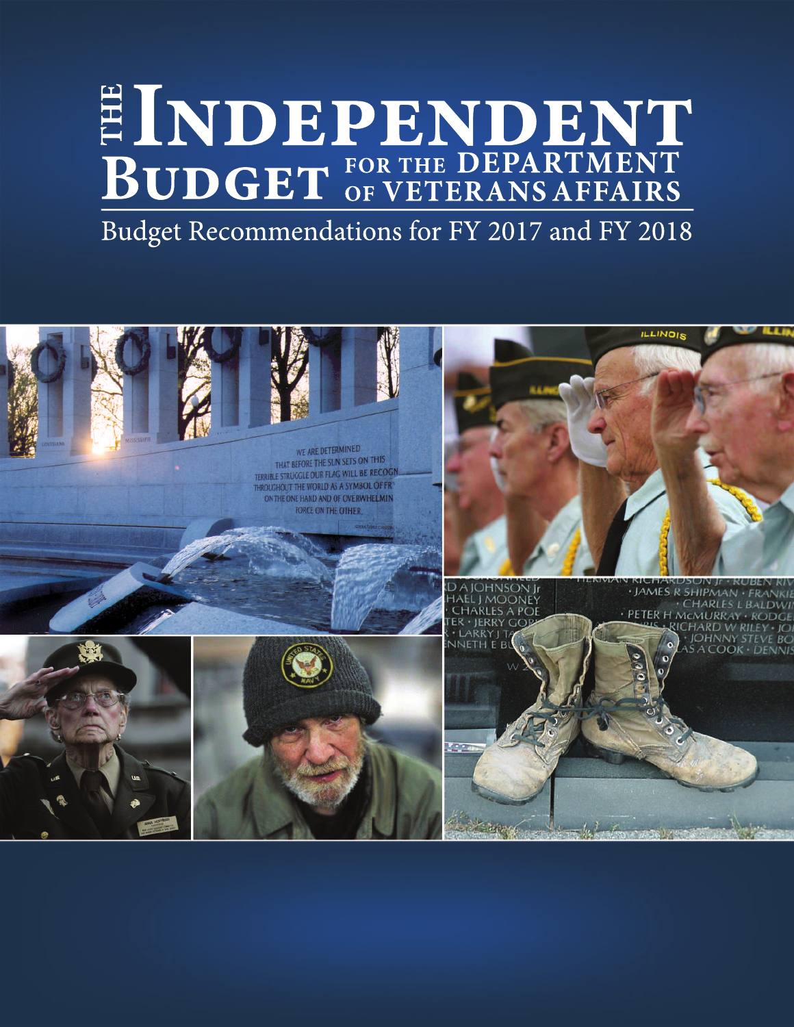# **FORTHEDEPARTMENT BOFVETERANSAFFAIRS T H E INDEPENDENT**

Budget Recommendations for FY 2017 and FY 2018

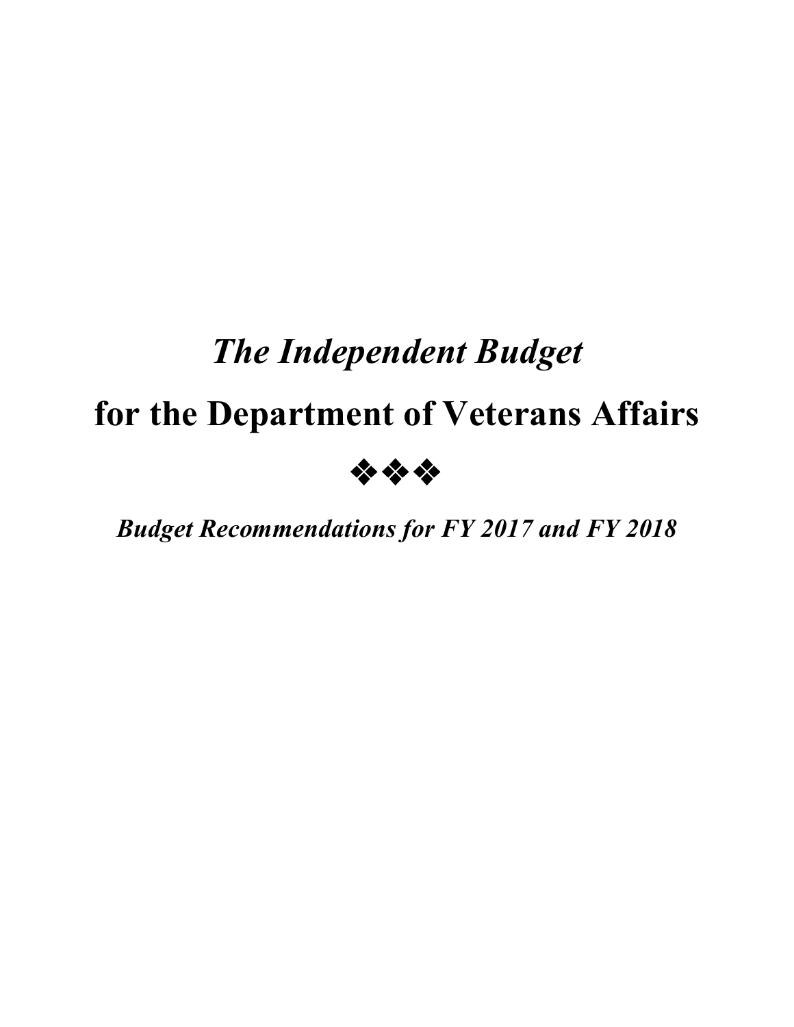# *The Independent Budget*

# **for the Department of Veterans Affairs**



*Budget Recommendations for FY 2017 and FY 2018*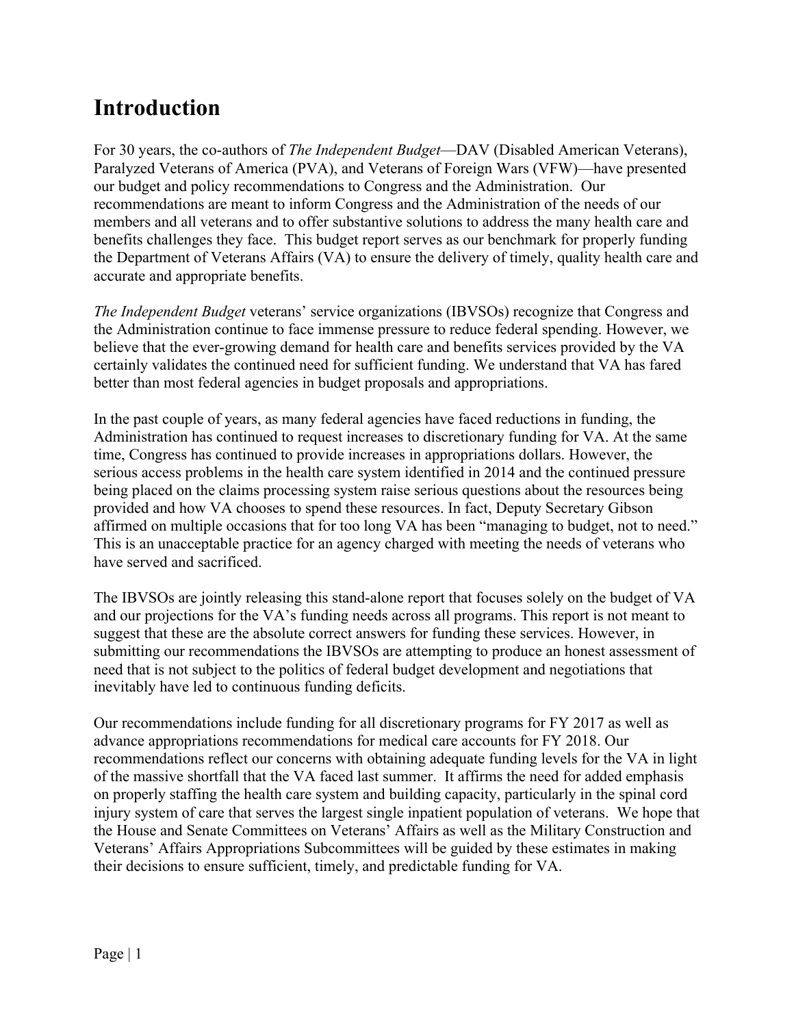# **Introduction**

For 30 years, the co-authors of *The Independent Budget*—DAV (Disabled American Veterans), Paralyzed Veterans of America (PVA), and Veterans of Foreign Wars (VFW)—have presented our budget and policy recommendations to Congress and the Administration. Our recommendations are meant to inform Congress and the Administration of the needs of our members and all veterans and to offer substantive solutions to address the many health care and benefits challenges they face. This budget report serves as our benchmark for properly funding the Department of Veterans Affairs (VA) to ensure the delivery of timely, quality health care and accurate and appropriate benefits.

*The Independent Budget* veterans' service organizations (IBVSOs) recognize that Congress and the Administration continue to face immense pressure to reduce federal spending. However, we believe that the ever-growing demand for health care and benefits services provided by the VA certainly validates the continued need for sufficient funding. We understand that VA has fared better than most federal agencies in budget proposals and appropriations.

In the past couple of years, as many federal agencies have faced reductions in funding, the Administration has continued to request increases to discretionary funding for VA. At the same time, Congress has continued to provide increases in appropriations dollars. However, the serious access problems in the health care system identified in 2014 and the continued pressure being placed on the claims processing system raise serious questions about the resources being provided and how VA chooses to spend these resources. In fact, Deputy Secretary Gibson affirmed on multiple occasions that for too long VA has been "managing to budget, not to need." This is an unacceptable practice for an agency charged with meeting the needs of veterans who have served and sacrificed.

The IBVSOs are jointly releasing this stand-alone report that focuses solely on the budget of VA and our projections for the VA's funding needs across all programs. This report is not meant to suggest that these are the absolute correct answers for funding these services. However, in submitting our recommendations the IBVSOs are attempting to produce an honest assessment of need that is not subject to the politics of federal budget development and negotiations that inevitably have led to continuous funding deficits.

Our recommendations include funding for all discretionary programs for FY 2017 as well as advance appropriations recommendations for medical care accounts for FY 2018. Our recommendations reflect our concerns with obtaining adequate funding levels for the VA in light of the massive shortfall that the VA faced last summer. It affirms the need for added emphasis on properly staffing the health care system and building capacity, particularly in the spinal cord injury system of care that serves the largest single inpatient population of veterans. We hope that the House and Senate Committees on Veterans' Affairs as well as the Military Construction and Veterans' Affairs Appropriations Subcommittees will be guided by these estimates in making their decisions to ensure sufficient, timely, and predictable funding for VA.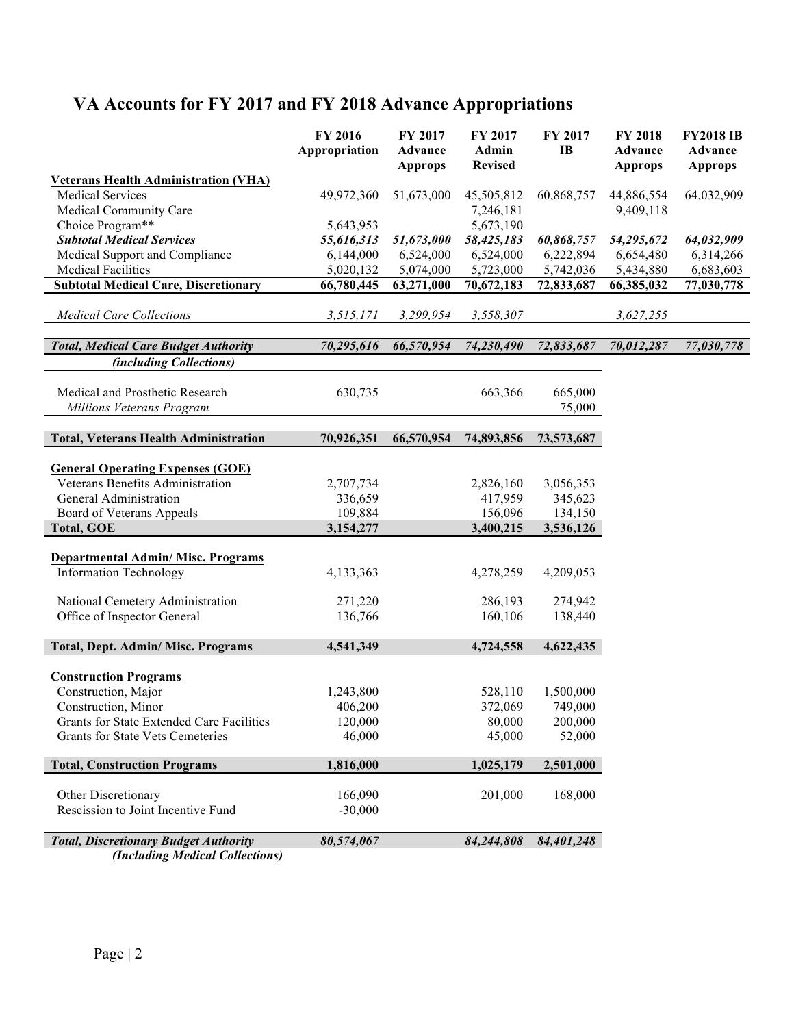# **VA Accounts for FY 2017 and FY 2018 Advance Appropriations**

|                                                                            | FY 2016<br>Appropriation | FY 2017<br><b>Advance</b><br><b>Approps</b> | FY 2017<br>Admin<br><b>Revised</b> | FY 2017<br><b>IB</b> | FY 2018<br><b>Advance</b><br><b>Approps</b> | <b>FY2018 IB</b><br>Advance<br><b>Approps</b> |
|----------------------------------------------------------------------------|--------------------------|---------------------------------------------|------------------------------------|----------------------|---------------------------------------------|-----------------------------------------------|
| <b>Veterans Health Administration (VHA)</b>                                |                          |                                             |                                    |                      |                                             |                                               |
| <b>Medical Services</b>                                                    | 49,972,360               | 51,673,000                                  | 45,505,812                         | 60,868,757           | 44,886,554                                  | 64,032,909                                    |
| Medical Community Care                                                     |                          |                                             | 7,246,181                          |                      | 9,409,118                                   |                                               |
| Choice Program**                                                           | 5,643,953                |                                             | 5,673,190                          |                      |                                             |                                               |
| <b>Subtotal Medical Services</b>                                           | 55,616,313               | 51,673,000                                  | 58,425,183                         | 60,868,757           | 54,295,672                                  | 64,032,909                                    |
| Medical Support and Compliance                                             | 6,144,000                | 6,524,000                                   | 6,524,000                          | 6,222,894            | 6,654,480                                   | 6,314,266                                     |
| <b>Medical Facilities</b>                                                  | 5,020,132                | 5,074,000                                   | 5,723,000                          | 5,742,036            | 5,434,880                                   | 6,683,603                                     |
| <b>Subtotal Medical Care, Discretionary</b>                                | 66,780,445               | 63,271,000                                  | 70,672,183                         | 72,833,687           | 66,385,032                                  | 77,030,778                                    |
| <b>Medical Care Collections</b>                                            | 3,515,171                | 3,299,954                                   | 3,558,307                          |                      | 3,627,255                                   |                                               |
| <b>Total, Medical Care Budget Authority</b>                                | 70,295,616               | 66,570,954                                  | 74,230,490                         | 72,833,687           | 70,012,287                                  | 77,030,778                                    |
| <i>(including Collections)</i>                                             |                          |                                             |                                    |                      |                                             |                                               |
|                                                                            |                          |                                             |                                    |                      |                                             |                                               |
| Medical and Prosthetic Research                                            | 630,735                  |                                             | 663,366                            | 665,000              |                                             |                                               |
| Millions Veterans Program                                                  |                          |                                             |                                    | 75,000               |                                             |                                               |
|                                                                            |                          |                                             |                                    |                      |                                             |                                               |
| <b>Total, Veterans Health Administration</b>                               | 70,926,351               | 66,570,954                                  | 74,893,856                         | 73,573,687           |                                             |                                               |
|                                                                            |                          |                                             |                                    |                      |                                             |                                               |
| <b>General Operating Expenses (GOE)</b>                                    |                          |                                             |                                    |                      |                                             |                                               |
| Veterans Benefits Administration                                           | 2,707,734                |                                             | 2,826,160                          | 3,056,353            |                                             |                                               |
| General Administration                                                     | 336,659                  |                                             | 417,959                            | 345,623              |                                             |                                               |
| Board of Veterans Appeals                                                  | 109,884                  |                                             | 156,096                            | 134,150              |                                             |                                               |
| <b>Total, GOE</b>                                                          | 3,154,277                |                                             | 3,400,215                          | 3,536,126            |                                             |                                               |
|                                                                            |                          |                                             |                                    |                      |                                             |                                               |
| <b>Departmental Admin/ Misc. Programs</b><br><b>Information Technology</b> | 4,133,363                |                                             | 4,278,259                          | 4,209,053            |                                             |                                               |
|                                                                            |                          |                                             |                                    |                      |                                             |                                               |
| National Cemetery Administration                                           | 271,220                  |                                             | 286,193                            | 274,942              |                                             |                                               |
| Office of Inspector General                                                | 136,766                  |                                             | 160,106                            | 138,440              |                                             |                                               |
|                                                                            |                          |                                             |                                    |                      |                                             |                                               |
| Total, Dept. Admin/ Misc. Programs                                         | 4,541,349                |                                             | 4,724,558                          | 4,622,435            |                                             |                                               |
|                                                                            |                          |                                             |                                    |                      |                                             |                                               |
| <b>Construction Programs</b><br>Construction, Major                        | 1,243,800                |                                             |                                    | 1,500,000            |                                             |                                               |
|                                                                            |                          |                                             | 528,110                            |                      |                                             |                                               |
| Construction, Minor<br>Grants for State Extended Care Facilities           | 406,200<br>120,000       |                                             | 372,069<br>80,000                  | 749,000<br>200,000   |                                             |                                               |
| <b>Grants for State Vets Cemeteries</b>                                    | 46,000                   |                                             | 45,000                             | 52,000               |                                             |                                               |
|                                                                            |                          |                                             |                                    |                      |                                             |                                               |
| <b>Total, Construction Programs</b>                                        | 1,816,000                |                                             | 1,025,179                          | 2,501,000            |                                             |                                               |
| Other Discretionary                                                        | 166,090                  |                                             | 201,000                            | 168,000              |                                             |                                               |
| Rescission to Joint Incentive Fund                                         | $-30,000$                |                                             |                                    |                      |                                             |                                               |
|                                                                            |                          |                                             |                                    |                      |                                             |                                               |
| <b>Total, Discretionary Budget Authority</b>                               | 80,574,067               |                                             | 84,244,808                         | 84,401,248           |                                             |                                               |
| (Including Medical Collections)                                            |                          |                                             |                                    |                      |                                             |                                               |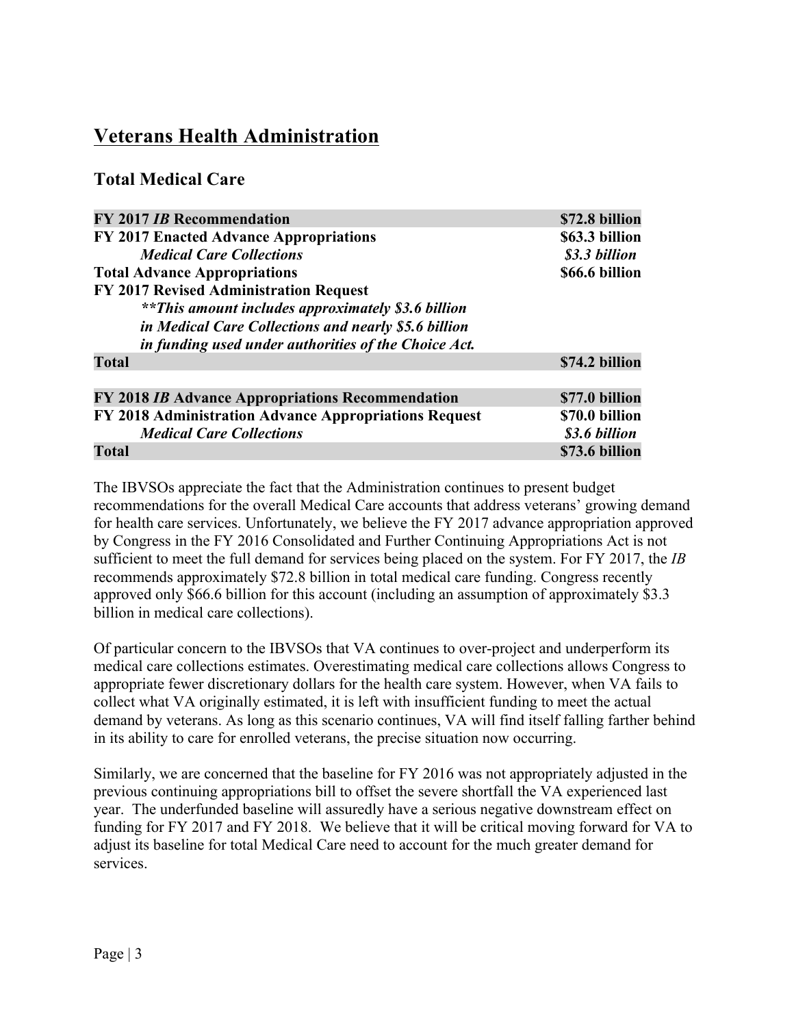# **Veterans Health Administration**

# **Total Medical Care**

| <b>FY 2017 IB Recommendation</b>                          | \$72.8 billion |
|-----------------------------------------------------------|----------------|
| FY 2017 Enacted Advance Appropriations                    | \$63.3 billion |
| <b>Medical Care Collections</b>                           | \$3.3 billion  |
| <b>Total Advance Appropriations</b>                       | \$66.6 billion |
| FY 2017 Revised Administration Request                    |                |
| <i>**This amount includes approximately \$3.6 billion</i> |                |
| in Medical Care Collections and nearly \$5.6 billion      |                |
| in funding used under authorities of the Choice Act.      |                |
| <b>Total</b>                                              | \$74.2 billion |
|                                                           |                |
| FY 2018 IB Advance Appropriations Recommendation          | \$77.0 billion |
| FY 2018 Administration Advance Appropriations Request     | \$70.0 billion |
| <b>Medical Care Collections</b>                           | \$3.6 billion  |
| <b>Total</b>                                              | \$73.6 billion |

The IBVSOs appreciate the fact that the Administration continues to present budget recommendations for the overall Medical Care accounts that address veterans' growing demand for health care services. Unfortunately, we believe the FY 2017 advance appropriation approved by Congress in the FY 2016 Consolidated and Further Continuing Appropriations Act is not sufficient to meet the full demand for services being placed on the system. For FY 2017, the *IB* recommends approximately \$72.8 billion in total medical care funding. Congress recently approved only \$66.6 billion for this account (including an assumption of approximately \$3.3 billion in medical care collections).

Of particular concern to the IBVSOs that VA continues to over-project and underperform its medical care collections estimates. Overestimating medical care collections allows Congress to appropriate fewer discretionary dollars for the health care system. However, when VA fails to collect what VA originally estimated, it is left with insufficient funding to meet the actual demand by veterans. As long as this scenario continues, VA will find itself falling farther behind in its ability to care for enrolled veterans, the precise situation now occurring.

Similarly, we are concerned that the baseline for FY 2016 was not appropriately adjusted in the previous continuing appropriations bill to offset the severe shortfall the VA experienced last year. The underfunded baseline will assuredly have a serious negative downstream effect on funding for FY 2017 and FY 2018. We believe that it will be critical moving forward for VA to adjust its baseline for total Medical Care need to account for the much greater demand for services.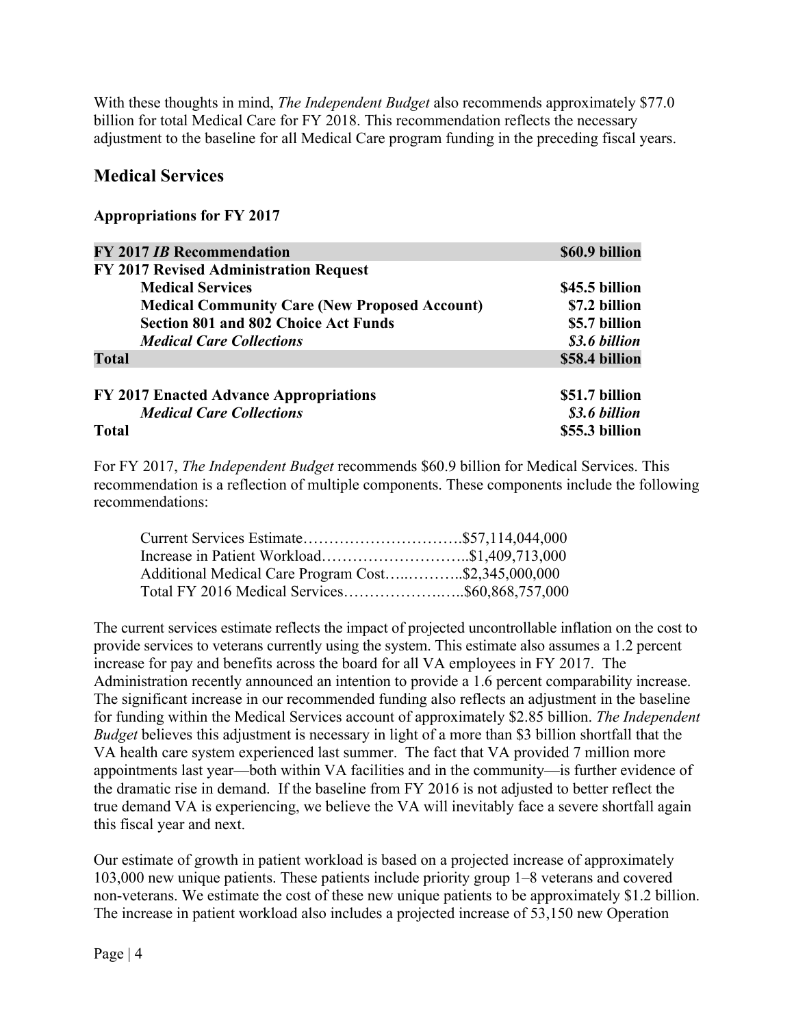With these thoughts in mind, *The Independent Budget* also recommends approximately \$77.0 billion for total Medical Care for FY 2018. This recommendation reflects the necessary adjustment to the baseline for all Medical Care program funding in the preceding fiscal years.

### **Medical Services**

#### **Appropriations for FY 2017**

| <b>FY 2017 IB Recommendation</b>                     | \$60.9 billion |
|------------------------------------------------------|----------------|
| FY 2017 Revised Administration Request               |                |
| <b>Medical Services</b>                              | \$45.5 billion |
| <b>Medical Community Care (New Proposed Account)</b> | \$7.2 billion  |
| <b>Section 801 and 802 Choice Act Funds</b>          | \$5.7 billion  |
| <b>Medical Care Collections</b>                      | \$3.6 billion  |
| <b>Total</b>                                         | \$58.4 billion |
| FY 2017 Enacted Advance Appropriations               | \$51.7 billion |
| <b>Medical Care Collections</b>                      | \$3.6 billion  |
| <b>Total</b>                                         | \$55.3 billion |

For FY 2017, *The Independent Budget* recommends \$60.9 billion for Medical Services. This recommendation is a reflection of multiple components. These components include the following recommendations:

| Increase in Patient Workload\$1,409,713,000         |  |
|-----------------------------------------------------|--|
| Additional Medical Care Program Cost\$2,345,000,000 |  |
|                                                     |  |

The current services estimate reflects the impact of projected uncontrollable inflation on the cost to provide services to veterans currently using the system. This estimate also assumes a 1.2 percent increase for pay and benefits across the board for all VA employees in FY 2017. The Administration recently announced an intention to provide a 1.6 percent comparability increase. The significant increase in our recommended funding also reflects an adjustment in the baseline for funding within the Medical Services account of approximately \$2.85 billion. *The Independent Budget* believes this adjustment is necessary in light of a more than \$3 billion shortfall that the VA health care system experienced last summer. The fact that VA provided 7 million more appointments last year—both within VA facilities and in the community—is further evidence of the dramatic rise in demand. If the baseline from FY 2016 is not adjusted to better reflect the true demand VA is experiencing, we believe the VA will inevitably face a severe shortfall again this fiscal year and next.

Our estimate of growth in patient workload is based on a projected increase of approximately 103,000 new unique patients. These patients include priority group 1–8 veterans and covered non-veterans. We estimate the cost of these new unique patients to be approximately \$1.2 billion. The increase in patient workload also includes a projected increase of 53,150 new Operation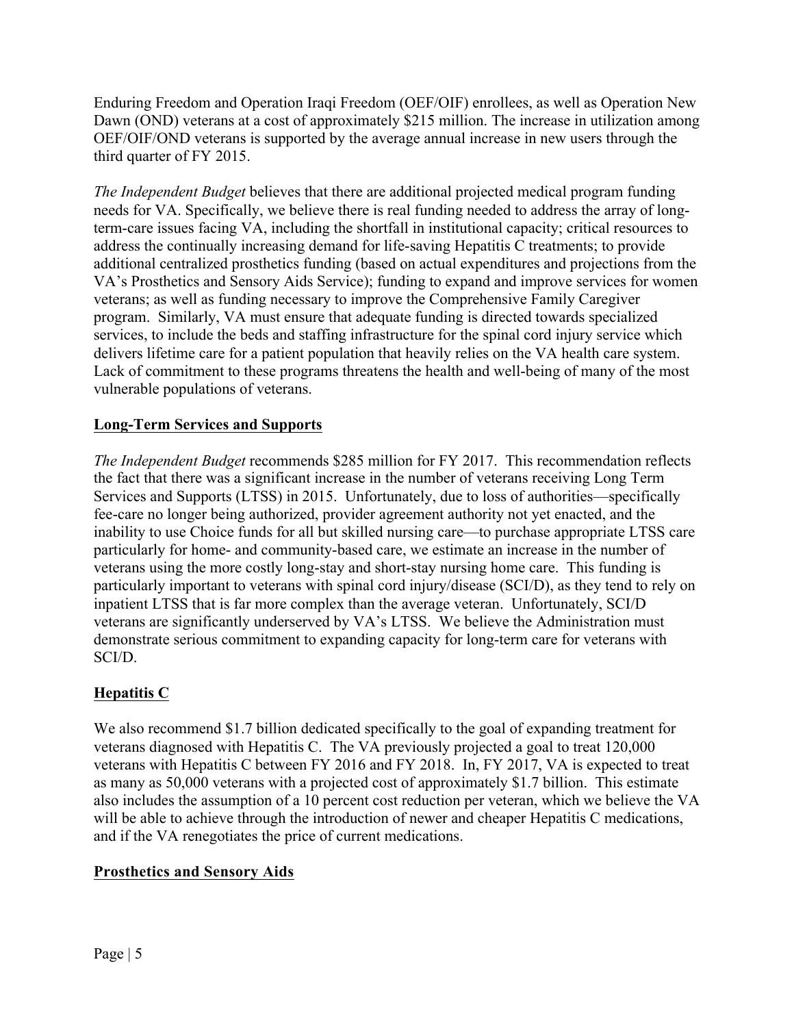Enduring Freedom and Operation Iraqi Freedom (OEF/OIF) enrollees, as well as Operation New Dawn (OND) veterans at a cost of approximately \$215 million. The increase in utilization among OEF/OIF/OND veterans is supported by the average annual increase in new users through the third quarter of FY 2015.

*The Independent Budget* believes that there are additional projected medical program funding needs for VA. Specifically, we believe there is real funding needed to address the array of longterm-care issues facing VA, including the shortfall in institutional capacity; critical resources to address the continually increasing demand for life-saving Hepatitis C treatments; to provide additional centralized prosthetics funding (based on actual expenditures and projections from the VA's Prosthetics and Sensory Aids Service); funding to expand and improve services for women veterans; as well as funding necessary to improve the Comprehensive Family Caregiver program. Similarly, VA must ensure that adequate funding is directed towards specialized services, to include the beds and staffing infrastructure for the spinal cord injury service which delivers lifetime care for a patient population that heavily relies on the VA health care system. Lack of commitment to these programs threatens the health and well-being of many of the most vulnerable populations of veterans.

## **Long-Term Services and Supports**

*The Independent Budget* recommends \$285 million for FY 2017. This recommendation reflects the fact that there was a significant increase in the number of veterans receiving Long Term Services and Supports (LTSS) in 2015. Unfortunately, due to loss of authorities—specifically fee-care no longer being authorized, provider agreement authority not yet enacted, and the inability to use Choice funds for all but skilled nursing care—to purchase appropriate LTSS care particularly for home- and community-based care, we estimate an increase in the number of veterans using the more costly long-stay and short-stay nursing home care. This funding is particularly important to veterans with spinal cord injury/disease (SCI/D), as they tend to rely on inpatient LTSS that is far more complex than the average veteran. Unfortunately, SCI/D veterans are significantly underserved by VA's LTSS. We believe the Administration must demonstrate serious commitment to expanding capacity for long-term care for veterans with SCI/D.

## **Hepatitis C**

We also recommend \$1.7 billion dedicated specifically to the goal of expanding treatment for veterans diagnosed with Hepatitis C. The VA previously projected a goal to treat 120,000 veterans with Hepatitis C between FY 2016 and FY 2018. In, FY 2017, VA is expected to treat as many as 50,000 veterans with a projected cost of approximately \$1.7 billion. This estimate also includes the assumption of a 10 percent cost reduction per veteran, which we believe the VA will be able to achieve through the introduction of newer and cheaper Hepatitis C medications, and if the VA renegotiates the price of current medications.

## **Prosthetics and Sensory Aids**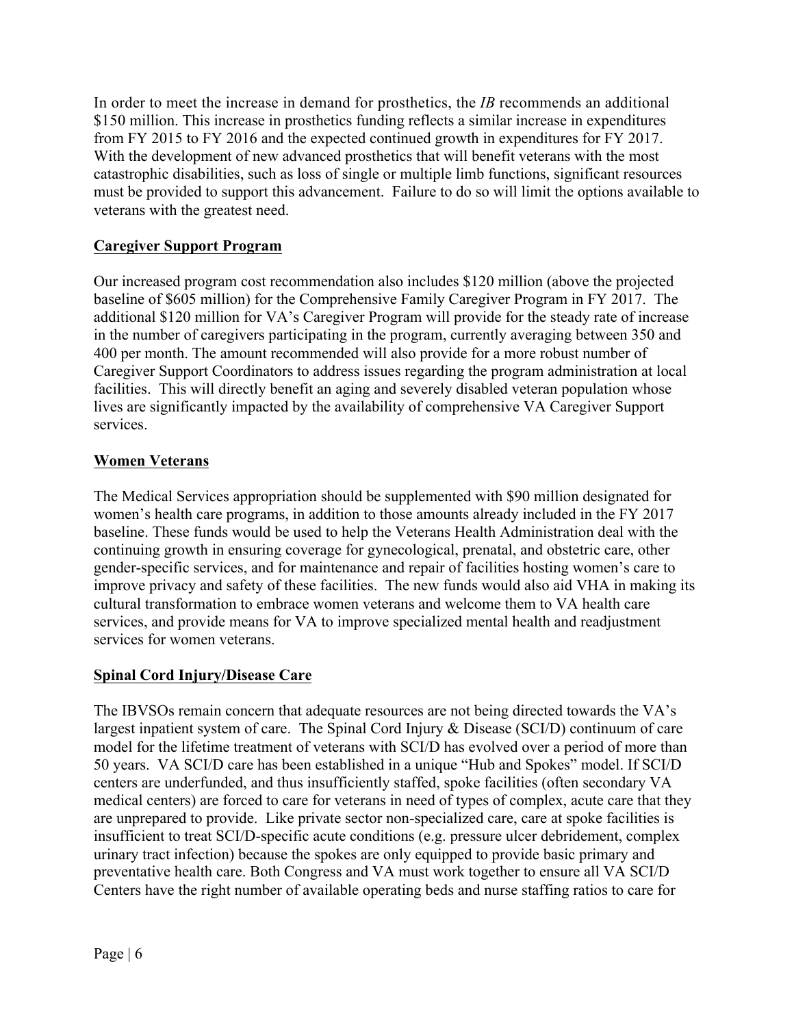In order to meet the increase in demand for prosthetics, the *IB* recommends an additional \$150 million. This increase in prosthetics funding reflects a similar increase in expenditures from FY 2015 to FY 2016 and the expected continued growth in expenditures for FY 2017. With the development of new advanced prosthetics that will benefit veterans with the most catastrophic disabilities, such as loss of single or multiple limb functions, significant resources must be provided to support this advancement. Failure to do so will limit the options available to veterans with the greatest need.

#### **Caregiver Support Program**

Our increased program cost recommendation also includes \$120 million (above the projected baseline of \$605 million) for the Comprehensive Family Caregiver Program in FY 2017. The additional \$120 million for VA's Caregiver Program will provide for the steady rate of increase in the number of caregivers participating in the program, currently averaging between 350 and 400 per month. The amount recommended will also provide for a more robust number of Caregiver Support Coordinators to address issues regarding the program administration at local facilities. This will directly benefit an aging and severely disabled veteran population whose lives are significantly impacted by the availability of comprehensive VA Caregiver Support services.

#### **Women Veterans**

The Medical Services appropriation should be supplemented with \$90 million designated for women's health care programs, in addition to those amounts already included in the FY 2017 baseline. These funds would be used to help the Veterans Health Administration deal with the continuing growth in ensuring coverage for gynecological, prenatal, and obstetric care, other gender-specific services, and for maintenance and repair of facilities hosting women's care to improve privacy and safety of these facilities. The new funds would also aid VHA in making its cultural transformation to embrace women veterans and welcome them to VA health care services, and provide means for VA to improve specialized mental health and readjustment services for women veterans.

#### **Spinal Cord Injury/Disease Care**

The IBVSOs remain concern that adequate resources are not being directed towards the VA's largest inpatient system of care. The Spinal Cord Injury & Disease (SCI/D) continuum of care model for the lifetime treatment of veterans with SCI/D has evolved over a period of more than 50 years. VA SCI/D care has been established in a unique "Hub and Spokes" model. If SCI/D centers are underfunded, and thus insufficiently staffed, spoke facilities (often secondary VA medical centers) are forced to care for veterans in need of types of complex, acute care that they are unprepared to provide. Like private sector non-specialized care, care at spoke facilities is insufficient to treat SCI/D-specific acute conditions (e.g. pressure ulcer debridement, complex urinary tract infection) because the spokes are only equipped to provide basic primary and preventative health care. Both Congress and VA must work together to ensure all VA SCI/D Centers have the right number of available operating beds and nurse staffing ratios to care for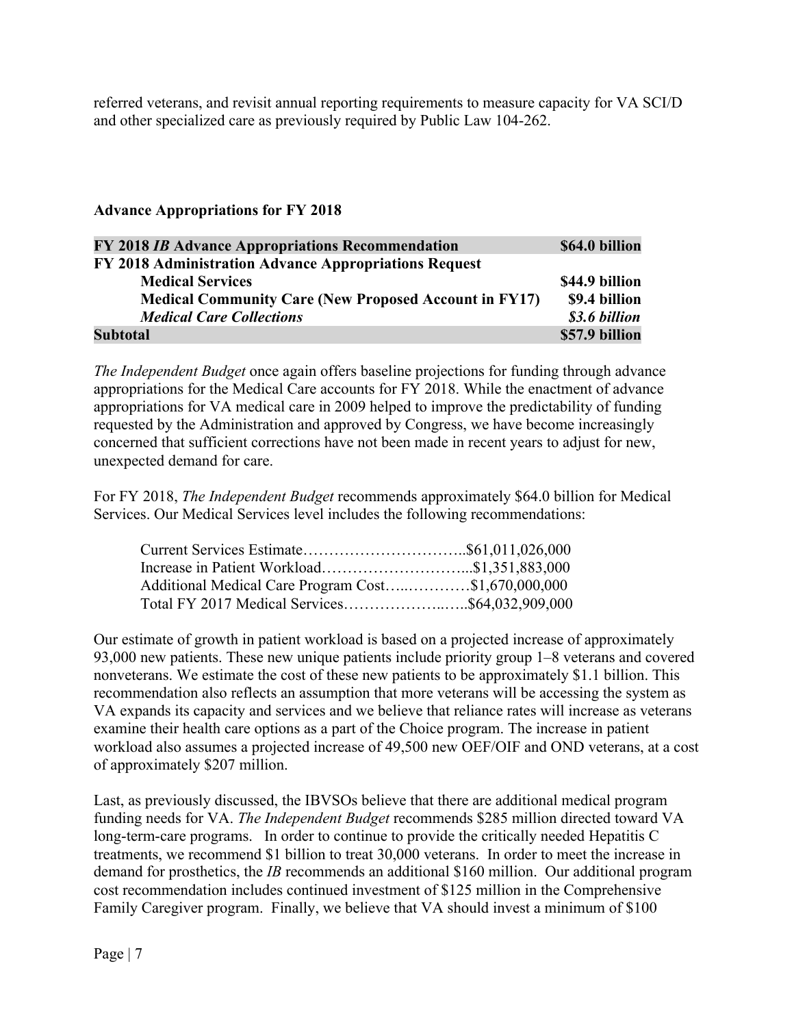referred veterans, and revisit annual reporting requirements to measure capacity for VA SCI/D and other specialized care as previously required by Public Law 104-262.

#### **Advance Appropriations for FY 2018**

| FY 2018 IB Advance Appropriations Recommendation             | \$64.0 billion |
|--------------------------------------------------------------|----------------|
| FY 2018 Administration Advance Appropriations Request        |                |
| <b>Medical Services</b>                                      | \$44.9 billion |
| <b>Medical Community Care (New Proposed Account in FY17)</b> | \$9.4 billion  |
| <b>Medical Care Collections</b>                              | \$3.6 billion  |
| <b>Subtotal</b>                                              | \$57.9 billion |

*The Independent Budget* once again offers baseline projections for funding through advance appropriations for the Medical Care accounts for FY 2018. While the enactment of advance appropriations for VA medical care in 2009 helped to improve the predictability of funding requested by the Administration and approved by Congress, we have become increasingly concerned that sufficient corrections have not been made in recent years to adjust for new, unexpected demand for care.

For FY 2018, *The Independent Budget* recommends approximately \$64.0 billion for Medical Services. Our Medical Services level includes the following recommendations:

| Additional Medical Care Program Cost\$1,670,000,000 |  |
|-----------------------------------------------------|--|
|                                                     |  |

Our estimate of growth in patient workload is based on a projected increase of approximately 93,000 new patients. These new unique patients include priority group 1–8 veterans and covered nonveterans. We estimate the cost of these new patients to be approximately \$1.1 billion. This recommendation also reflects an assumption that more veterans will be accessing the system as VA expands its capacity and services and we believe that reliance rates will increase as veterans examine their health care options as a part of the Choice program. The increase in patient workload also assumes a projected increase of 49,500 new OEF/OIF and OND veterans, at a cost of approximately \$207 million.

Last, as previously discussed, the IBVSOs believe that there are additional medical program funding needs for VA. *The Independent Budget* recommends \$285 million directed toward VA long-term-care programs. In order to continue to provide the critically needed Hepatitis C treatments, we recommend \$1 billion to treat 30,000 veterans. In order to meet the increase in demand for prosthetics, the *IB* recommends an additional \$160 million. Our additional program cost recommendation includes continued investment of \$125 million in the Comprehensive Family Caregiver program. Finally, we believe that VA should invest a minimum of \$100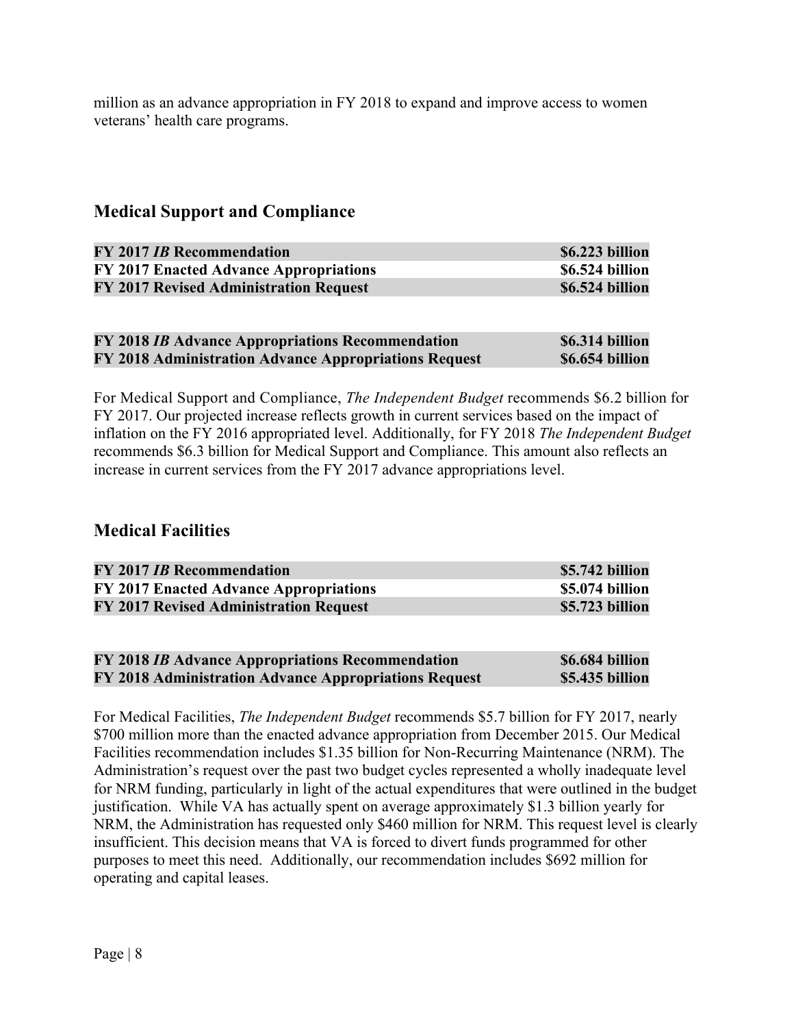million as an advance appropriation in FY 2018 to expand and improve access to women veterans' health care programs.

## **Medical Support and Compliance**

| <b>FY 2017 IB Recommendation</b>       | \$6.223 billion |
|----------------------------------------|-----------------|
| FY 2017 Enacted Advance Appropriations | \$6.524 billion |
| FY 2017 Revised Administration Request | \$6.524 billion |

| FY 2018 <i>IB</i> Advance Appropriations Recommendation | \$6.314 billion |
|---------------------------------------------------------|-----------------|
| FY 2018 Administration Advance Appropriations Request   | \$6.654 billion |

For Medical Support and Compliance, *The Independent Budget* recommends \$6.2 billion for FY 2017. Our projected increase reflects growth in current services based on the impact of inflation on the FY 2016 appropriated level. Additionally, for FY 2018 *The Independent Budget* recommends \$6.3 billion for Medical Support and Compliance. This amount also reflects an increase in current services from the FY 2017 advance appropriations level.

## **Medical Facilities**

| <b>FY 2017 IB Recommendation</b>              | \$5.742 billion |
|-----------------------------------------------|-----------------|
| FY 2017 Enacted Advance Appropriations        | \$5.074 billion |
| <b>FY 2017 Revised Administration Request</b> | \$5.723 billion |

| FY 2018 IB Advance Appropriations Recommendation      | \$6.684 billion |
|-------------------------------------------------------|-----------------|
| FY 2018 Administration Advance Appropriations Request | \$5.435 billion |

For Medical Facilities, *The Independent Budget* recommends \$5.7 billion for FY 2017, nearly \$700 million more than the enacted advance appropriation from December 2015. Our Medical Facilities recommendation includes \$1.35 billion for Non-Recurring Maintenance (NRM). The Administration's request over the past two budget cycles represented a wholly inadequate level for NRM funding, particularly in light of the actual expenditures that were outlined in the budget justification. While VA has actually spent on average approximately \$1.3 billion yearly for NRM, the Administration has requested only \$460 million for NRM. This request level is clearly insufficient. This decision means that VA is forced to divert funds programmed for other purposes to meet this need. Additionally, our recommendation includes \$692 million for operating and capital leases.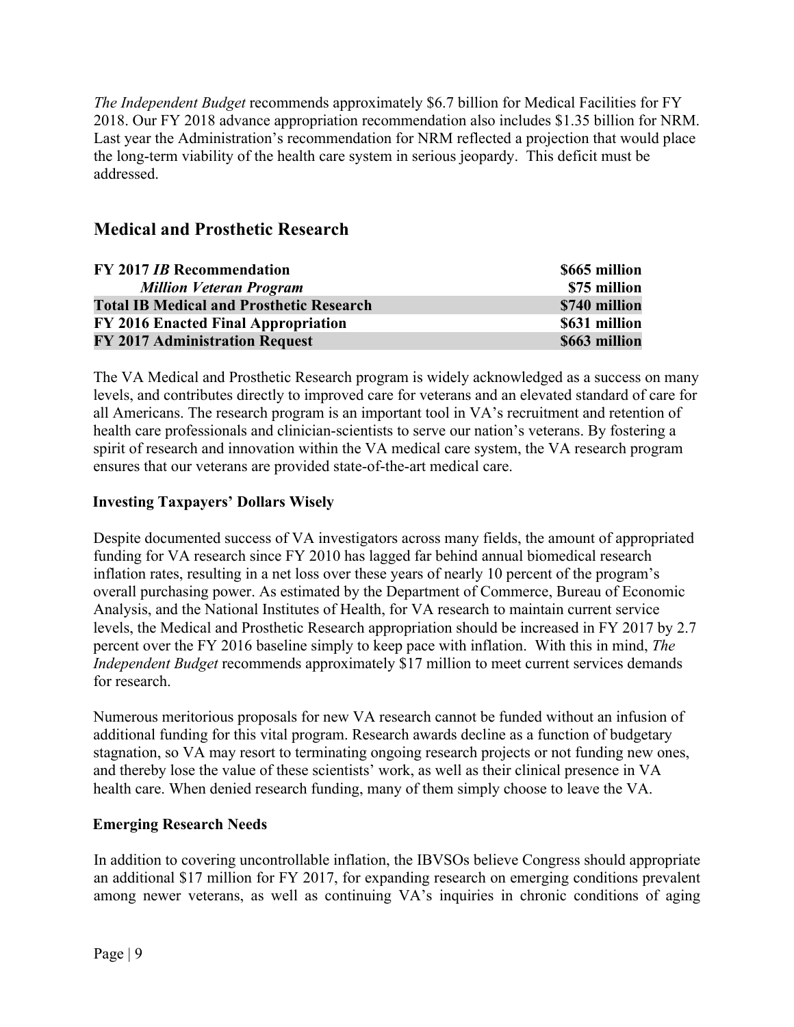*The Independent Budget* recommends approximately \$6.7 billion for Medical Facilities for FY 2018. Our FY 2018 advance appropriation recommendation also includes \$1.35 billion for NRM. Last year the Administration's recommendation for NRM reflected a projection that would place the long-term viability of the health care system in serious jeopardy. This deficit must be addressed.

# **Medical and Prosthetic Research**

| <b>FY 2017 IB Recommendation</b>                | \$665 million |
|-------------------------------------------------|---------------|
| <b>Million Veteran Program</b>                  | \$75 million  |
| <b>Total IB Medical and Prosthetic Research</b> | \$740 million |
| FY 2016 Enacted Final Appropriation             | \$631 million |
| <b>FY 2017 Administration Request</b>           | \$663 million |

The VA Medical and Prosthetic Research program is widely acknowledged as a success on many levels, and contributes directly to improved care for veterans and an elevated standard of care for all Americans. The research program is an important tool in VA's recruitment and retention of health care professionals and clinician-scientists to serve our nation's veterans. By fostering a spirit of research and innovation within the VA medical care system, the VA research program ensures that our veterans are provided state-of-the-art medical care.

#### **Investing Taxpayers' Dollars Wisely**

Despite documented success of VA investigators across many fields, the amount of appropriated funding for VA research since FY 2010 has lagged far behind annual biomedical research inflation rates, resulting in a net loss over these years of nearly 10 percent of the program's overall purchasing power. As estimated by the Department of Commerce, Bureau of Economic Analysis, and the National Institutes of Health, for VA research to maintain current service levels, the Medical and Prosthetic Research appropriation should be increased in FY 2017 by 2.7 percent over the FY 2016 baseline simply to keep pace with inflation. With this in mind, *The Independent Budget* recommends approximately \$17 million to meet current services demands for research.

Numerous meritorious proposals for new VA research cannot be funded without an infusion of additional funding for this vital program. Research awards decline as a function of budgetary stagnation, so VA may resort to terminating ongoing research projects or not funding new ones, and thereby lose the value of these scientists' work, as well as their clinical presence in VA health care. When denied research funding, many of them simply choose to leave the VA.

#### **Emerging Research Needs**

In addition to covering uncontrollable inflation, the IBVSOs believe Congress should appropriate an additional \$17 million for FY 2017, for expanding research on emerging conditions prevalent among newer veterans, as well as continuing VA's inquiries in chronic conditions of aging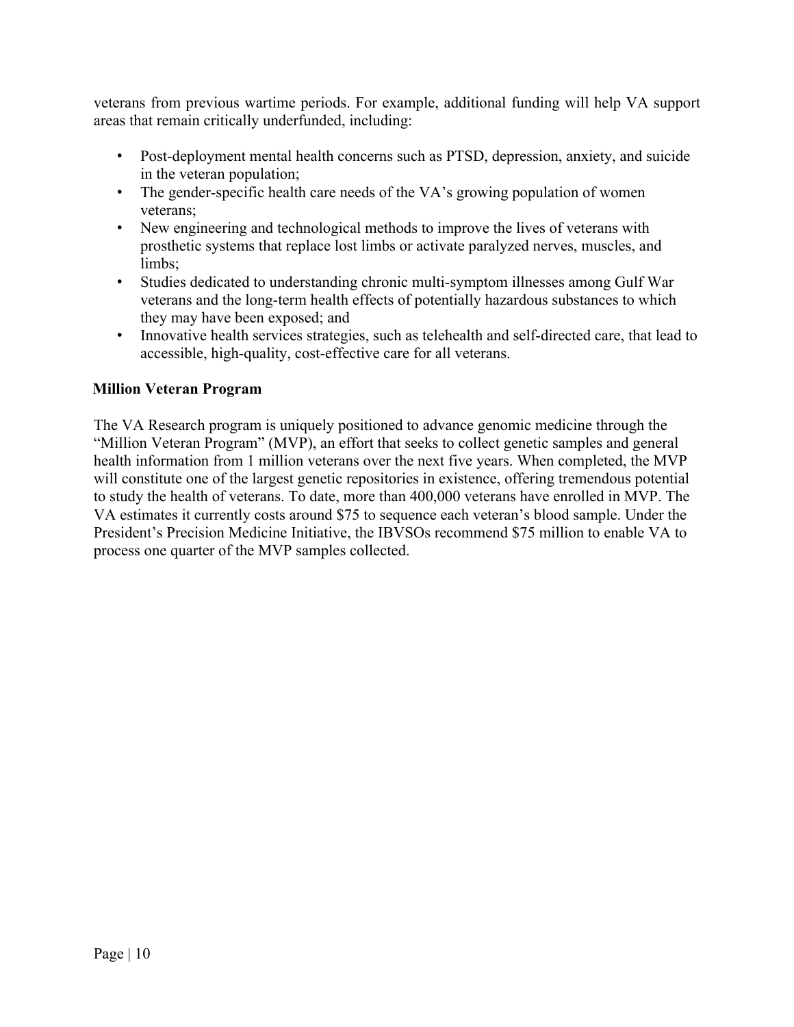veterans from previous wartime periods. For example, additional funding will help VA support areas that remain critically underfunded, including:

- Post-deployment mental health concerns such as PTSD, depression, anxiety, and suicide in the veteran population;
- The gender-specific health care needs of the VA's growing population of women veterans;
- New engineering and technological methods to improve the lives of veterans with prosthetic systems that replace lost limbs or activate paralyzed nerves, muscles, and limbs;
- Studies dedicated to understanding chronic multi-symptom illnesses among Gulf War veterans and the long-term health effects of potentially hazardous substances to which they may have been exposed; and
- Innovative health services strategies, such as telehealth and self-directed care, that lead to accessible, high-quality, cost-effective care for all veterans.

#### **Million Veteran Program**

The VA Research program is uniquely positioned to advance genomic medicine through the "Million Veteran Program" (MVP), an effort that seeks to collect genetic samples and general health information from 1 million veterans over the next five years. When completed, the MVP will constitute one of the largest genetic repositories in existence, offering tremendous potential to study the health of veterans. To date, more than 400,000 veterans have enrolled in MVP. The VA estimates it currently costs around \$75 to sequence each veteran's blood sample. Under the President's Precision Medicine Initiative, the IBVSOs recommend \$75 million to enable VA to process one quarter of the MVP samples collected.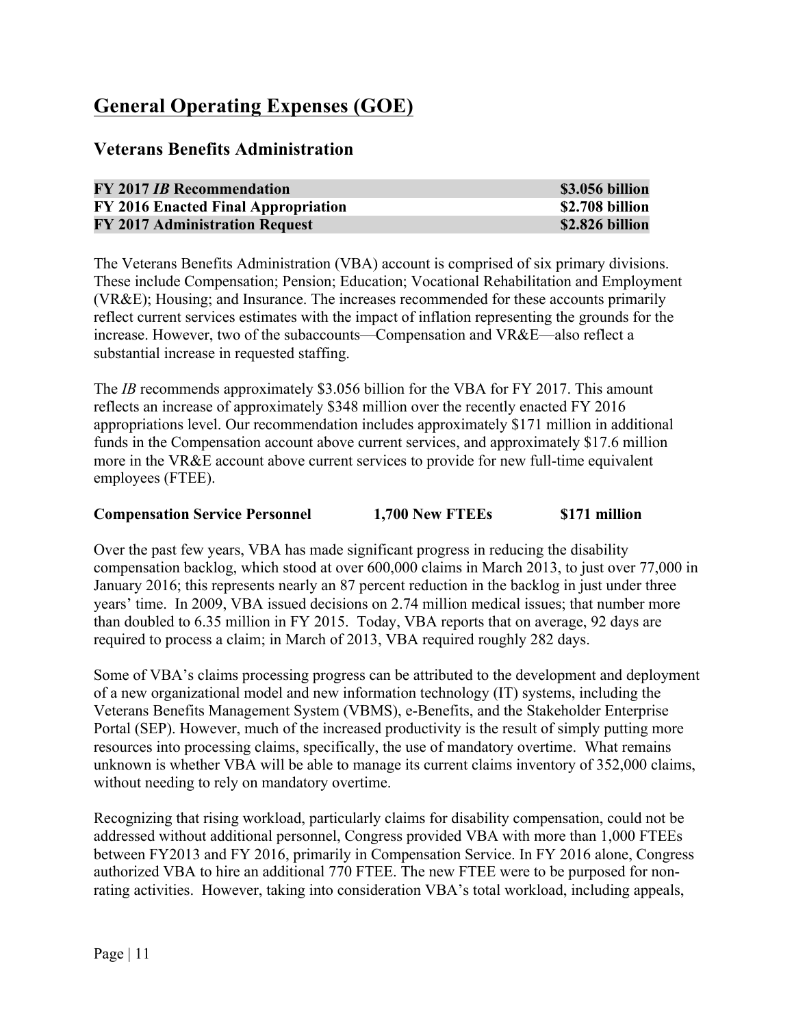# **General Operating Expenses (GOE)**

# **Veterans Benefits Administration**

| <b>FY 2017 IB Recommendation</b>      | \$3.056 billion |
|---------------------------------------|-----------------|
| FY 2016 Enacted Final Appropriation   | \$2.708 billion |
| <b>FY 2017 Administration Request</b> | \$2.826 billion |

The Veterans Benefits Administration (VBA) account is comprised of six primary divisions. These include Compensation; Pension; Education; Vocational Rehabilitation and Employment (VR&E); Housing; and Insurance. The increases recommended for these accounts primarily reflect current services estimates with the impact of inflation representing the grounds for the increase. However, two of the subaccounts—Compensation and VR&E—also reflect a substantial increase in requested staffing.

The *IB* recommends approximately \$3.056 billion for the VBA for FY 2017. This amount reflects an increase of approximately \$348 million over the recently enacted FY 2016 appropriations level. Our recommendation includes approximately \$171 million in additional funds in the Compensation account above current services, and approximately \$17.6 million more in the VR&E account above current services to provide for new full-time equivalent employees (FTEE).

#### **Compensation Service Personnel 1,700 New FTEEs \$171 million**

Over the past few years, VBA has made significant progress in reducing the disability compensation backlog, which stood at over 600,000 claims in March 2013, to just over 77,000 in January 2016; this represents nearly an 87 percent reduction in the backlog in just under three years' time. In 2009, VBA issued decisions on 2.74 million medical issues; that number more than doubled to 6.35 million in FY 2015. Today, VBA reports that on average, 92 days are required to process a claim; in March of 2013, VBA required roughly 282 days.

Some of VBA's claims processing progress can be attributed to the development and deployment of a new organizational model and new information technology (IT) systems, including the Veterans Benefits Management System (VBMS), e-Benefits, and the Stakeholder Enterprise Portal (SEP). However, much of the increased productivity is the result of simply putting more resources into processing claims, specifically, the use of mandatory overtime. What remains unknown is whether VBA will be able to manage its current claims inventory of 352,000 claims, without needing to rely on mandatory overtime.

Recognizing that rising workload, particularly claims for disability compensation, could not be addressed without additional personnel, Congress provided VBA with more than 1,000 FTEEs between FY2013 and FY 2016, primarily in Compensation Service. In FY 2016 alone, Congress authorized VBA to hire an additional 770 FTEE. The new FTEE were to be purposed for nonrating activities. However, taking into consideration VBA's total workload, including appeals,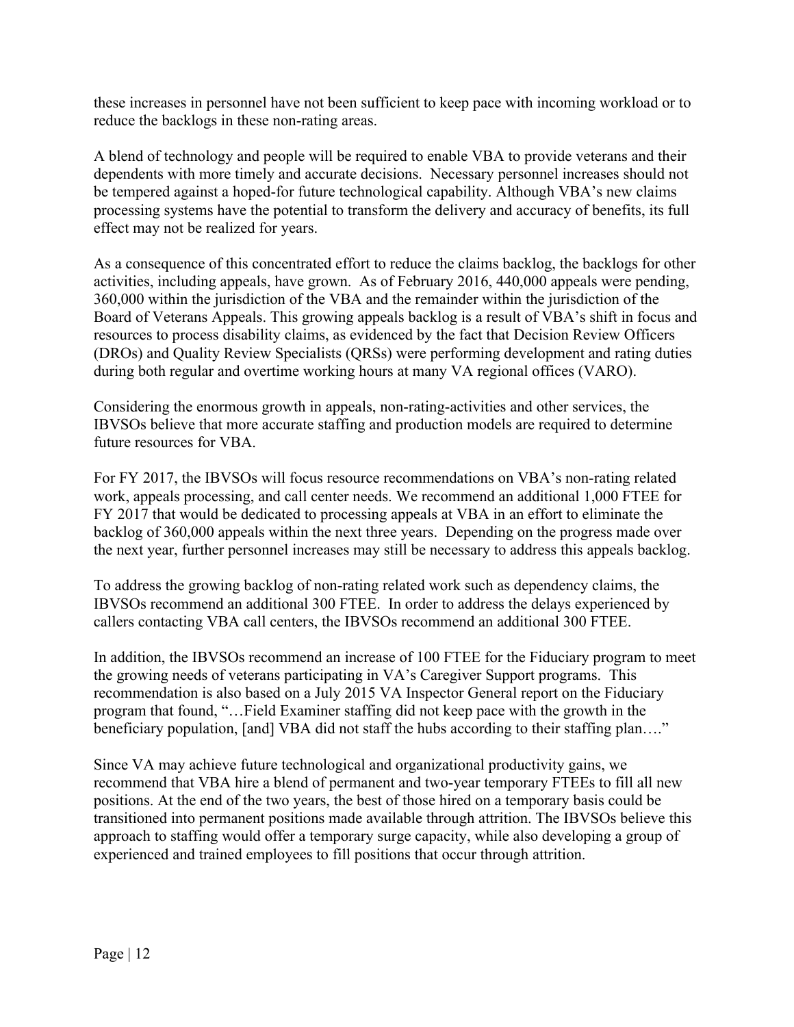these increases in personnel have not been sufficient to keep pace with incoming workload or to reduce the backlogs in these non-rating areas.

A blend of technology and people will be required to enable VBA to provide veterans and their dependents with more timely and accurate decisions. Necessary personnel increases should not be tempered against a hoped-for future technological capability. Although VBA's new claims processing systems have the potential to transform the delivery and accuracy of benefits, its full effect may not be realized for years.

As a consequence of this concentrated effort to reduce the claims backlog, the backlogs for other activities, including appeals, have grown. As of February 2016, 440,000 appeals were pending, 360,000 within the jurisdiction of the VBA and the remainder within the jurisdiction of the Board of Veterans Appeals. This growing appeals backlog is a result of VBA's shift in focus and resources to process disability claims, as evidenced by the fact that Decision Review Officers (DROs) and Quality Review Specialists (QRSs) were performing development and rating duties during both regular and overtime working hours at many VA regional offices (VARO).

Considering the enormous growth in appeals, non-rating-activities and other services, the IBVSOs believe that more accurate staffing and production models are required to determine future resources for VBA.

For FY 2017, the IBVSOs will focus resource recommendations on VBA's non-rating related work, appeals processing, and call center needs. We recommend an additional 1,000 FTEE for FY 2017 that would be dedicated to processing appeals at VBA in an effort to eliminate the backlog of 360,000 appeals within the next three years. Depending on the progress made over the next year, further personnel increases may still be necessary to address this appeals backlog.

To address the growing backlog of non-rating related work such as dependency claims, the IBVSOs recommend an additional 300 FTEE. In order to address the delays experienced by callers contacting VBA call centers, the IBVSOs recommend an additional 300 FTEE.

In addition, the IBVSOs recommend an increase of 100 FTEE for the Fiduciary program to meet the growing needs of veterans participating in VA's Caregiver Support programs. This recommendation is also based on a July 2015 VA Inspector General report on the Fiduciary program that found, "…Field Examiner staffing did not keep pace with the growth in the beneficiary population, [and] VBA did not staff the hubs according to their staffing plan..."

Since VA may achieve future technological and organizational productivity gains, we recommend that VBA hire a blend of permanent and two-year temporary FTEEs to fill all new positions. At the end of the two years, the best of those hired on a temporary basis could be transitioned into permanent positions made available through attrition. The IBVSOs believe this approach to staffing would offer a temporary surge capacity, while also developing a group of experienced and trained employees to fill positions that occur through attrition.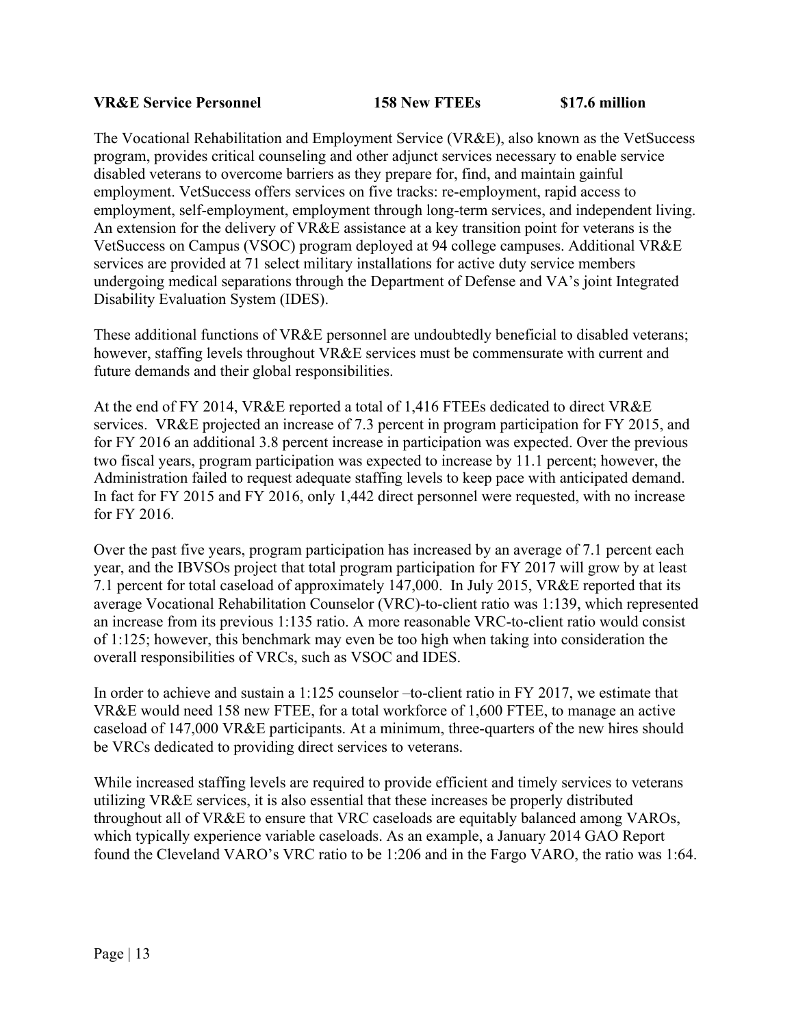#### **VR&E Service Personnel 158 New FTEEs \$17.6 million**

The Vocational Rehabilitation and Employment Service (VR&E), also known as the VetSuccess program, provides critical counseling and other adjunct services necessary to enable service disabled veterans to overcome barriers as they prepare for, find, and maintain gainful employment. VetSuccess offers services on five tracks: re-employment, rapid access to employment, self-employment, employment through long-term services, and independent living. An extension for the delivery of VR&E assistance at a key transition point for veterans is the VetSuccess on Campus (VSOC) program deployed at 94 college campuses. Additional VR&E services are provided at 71 select military installations for active duty service members undergoing medical separations through the Department of Defense and VA's joint Integrated Disability Evaluation System (IDES).

These additional functions of VR&E personnel are undoubtedly beneficial to disabled veterans; however, staffing levels throughout VR&E services must be commensurate with current and future demands and their global responsibilities.

At the end of FY 2014, VR&E reported a total of 1,416 FTEEs dedicated to direct VR&E services. VR&E projected an increase of 7.3 percent in program participation for FY 2015, and for FY 2016 an additional 3.8 percent increase in participation was expected. Over the previous two fiscal years, program participation was expected to increase by 11.1 percent; however, the Administration failed to request adequate staffing levels to keep pace with anticipated demand. In fact for FY 2015 and FY 2016, only 1,442 direct personnel were requested, with no increase for FY 2016.

Over the past five years, program participation has increased by an average of 7.1 percent each year, and the IBVSOs project that total program participation for FY 2017 will grow by at least 7.1 percent for total caseload of approximately 147,000. In July 2015, VR&E reported that its average Vocational Rehabilitation Counselor (VRC)-to-client ratio was 1:139, which represented an increase from its previous 1:135 ratio. A more reasonable VRC-to-client ratio would consist of 1:125; however, this benchmark may even be too high when taking into consideration the overall responsibilities of VRCs, such as VSOC and IDES.

In order to achieve and sustain a 1:125 counselor –to-client ratio in FY 2017, we estimate that VR&E would need 158 new FTEE, for a total workforce of 1,600 FTEE, to manage an active caseload of 147,000 VR&E participants. At a minimum, three-quarters of the new hires should be VRCs dedicated to providing direct services to veterans.

While increased staffing levels are required to provide efficient and timely services to veterans utilizing VR&E services, it is also essential that these increases be properly distributed throughout all of VR&E to ensure that VRC caseloads are equitably balanced among VAROs, which typically experience variable caseloads. As an example, a January 2014 GAO Report found the Cleveland VARO's VRC ratio to be 1:206 and in the Fargo VARO, the ratio was 1:64.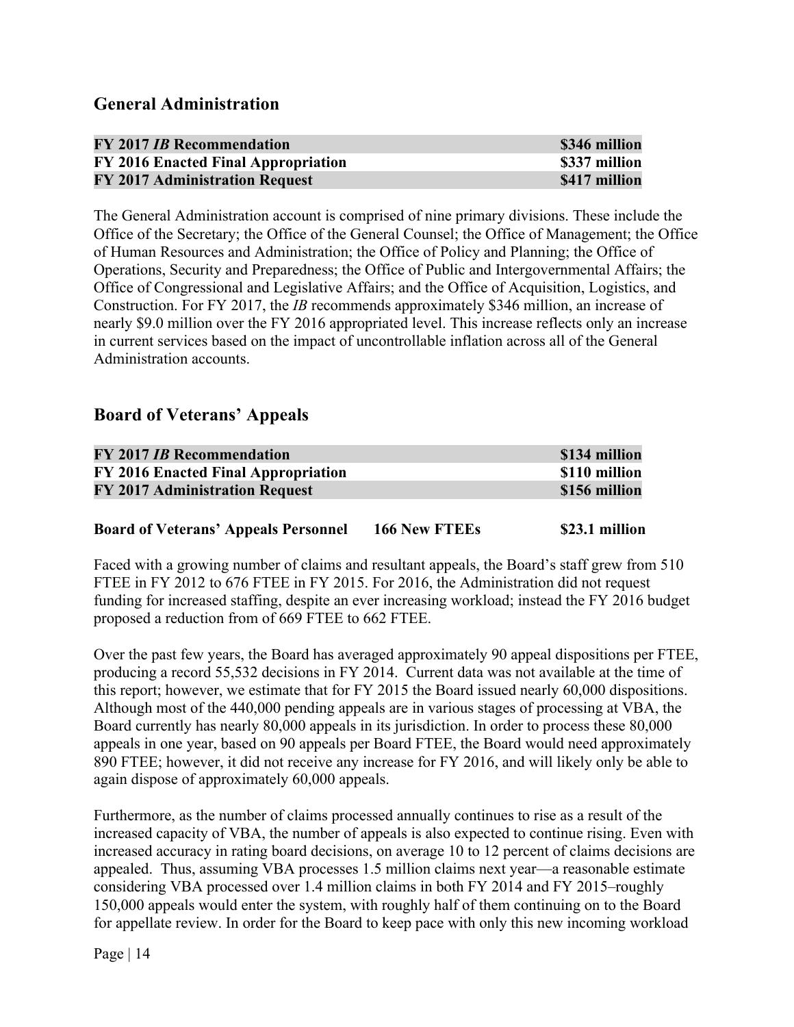| <b>FY 2017 IB Recommendation</b>      | \$346 million |
|---------------------------------------|---------------|
| FY 2016 Enacted Final Appropriation   | \$337 million |
| <b>FY 2017 Administration Request</b> | \$417 million |

The General Administration account is comprised of nine primary divisions. These include the Office of the Secretary; the Office of the General Counsel; the Office of Management; the Office of Human Resources and Administration; the Office of Policy and Planning; the Office of Operations, Security and Preparedness; the Office of Public and Intergovernmental Affairs; the Office of Congressional and Legislative Affairs; and the Office of Acquisition, Logistics, and Construction. For FY 2017, the *IB* recommends approximately \$346 million, an increase of nearly \$9.0 million over the FY 2016 appropriated level. This increase reflects only an increase in current services based on the impact of uncontrollable inflation across all of the General Administration accounts.

# **Board of Veterans' Appeals**

| <b>FY 2017 IB Recommendation</b>      | \$134 million |
|---------------------------------------|---------------|
| FY 2016 Enacted Final Appropriation   | \$110 million |
| <b>FY 2017 Administration Request</b> | \$156 million |

#### **Board of Veterans' Appeals Personnel 166 New FTEEs \$23.1 million**

Faced with a growing number of claims and resultant appeals, the Board's staff grew from 510 FTEE in FY 2012 to 676 FTEE in FY 2015. For 2016, the Administration did not request funding for increased staffing, despite an ever increasing workload; instead the FY 2016 budget proposed a reduction from of 669 FTEE to 662 FTEE.

Over the past few years, the Board has averaged approximately 90 appeal dispositions per FTEE, producing a record 55,532 decisions in FY 2014. Current data was not available at the time of this report; however, we estimate that for FY 2015 the Board issued nearly 60,000 dispositions. Although most of the 440,000 pending appeals are in various stages of processing at VBA, the Board currently has nearly 80,000 appeals in its jurisdiction. In order to process these 80,000 appeals in one year, based on 90 appeals per Board FTEE, the Board would need approximately 890 FTEE; however, it did not receive any increase for FY 2016, and will likely only be able to again dispose of approximately 60,000 appeals.

Furthermore, as the number of claims processed annually continues to rise as a result of the increased capacity of VBA, the number of appeals is also expected to continue rising. Even with increased accuracy in rating board decisions, on average 10 to 12 percent of claims decisions are appealed. Thus, assuming VBA processes 1.5 million claims next year—a reasonable estimate considering VBA processed over 1.4 million claims in both FY 2014 and FY 2015–roughly 150,000 appeals would enter the system, with roughly half of them continuing on to the Board for appellate review. In order for the Board to keep pace with only this new incoming workload

Page  $| 14$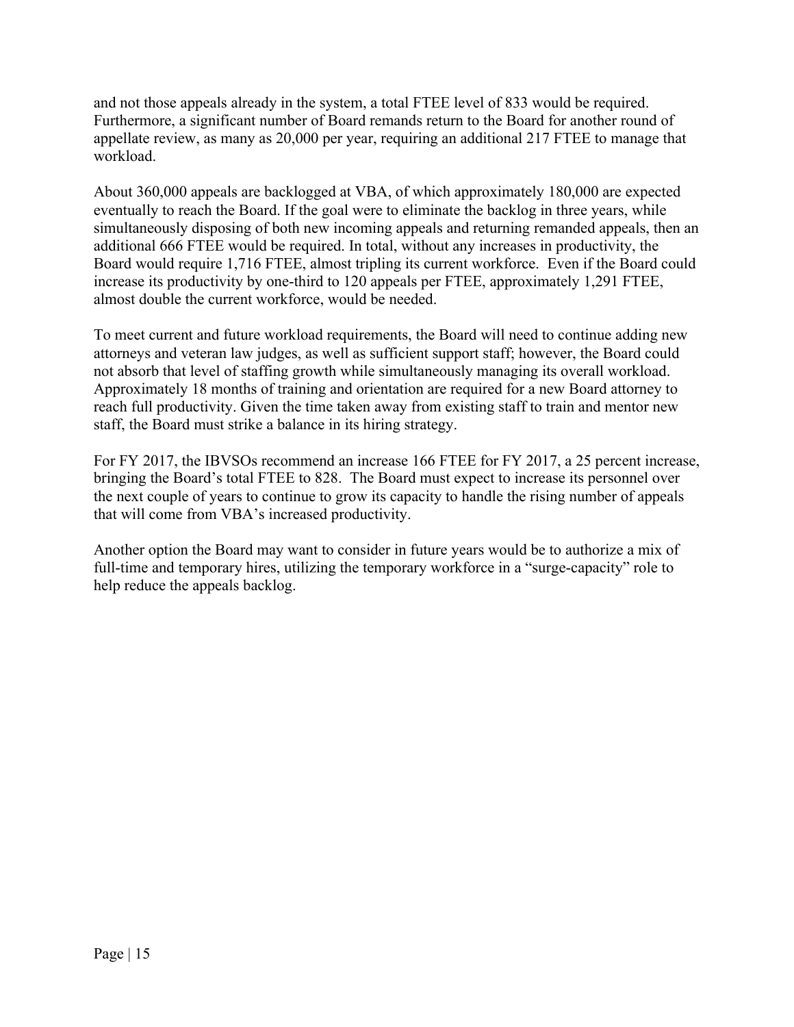and not those appeals already in the system, a total FTEE level of 833 would be required. Furthermore, a significant number of Board remands return to the Board for another round of appellate review, as many as 20,000 per year, requiring an additional 217 FTEE to manage that workload.

About 360,000 appeals are backlogged at VBA, of which approximately 180,000 are expected eventually to reach the Board. If the goal were to eliminate the backlog in three years, while simultaneously disposing of both new incoming appeals and returning remanded appeals, then an additional 666 FTEE would be required. In total, without any increases in productivity, the Board would require 1,716 FTEE, almost tripling its current workforce. Even if the Board could increase its productivity by one-third to 120 appeals per FTEE, approximately 1,291 FTEE, almost double the current workforce, would be needed.

To meet current and future workload requirements, the Board will need to continue adding new attorneys and veteran law judges, as well as sufficient support staff; however, the Board could not absorb that level of staffing growth while simultaneously managing its overall workload. Approximately 18 months of training and orientation are required for a new Board attorney to reach full productivity. Given the time taken away from existing staff to train and mentor new staff, the Board must strike a balance in its hiring strategy.

For FY 2017, the IBVSOs recommend an increase 166 FTEE for FY 2017, a 25 percent increase, bringing the Board's total FTEE to 828. The Board must expect to increase its personnel over the next couple of years to continue to grow its capacity to handle the rising number of appeals that will come from VBA's increased productivity.

Another option the Board may want to consider in future years would be to authorize a mix of full-time and temporary hires, utilizing the temporary workforce in a "surge-capacity" role to help reduce the appeals backlog.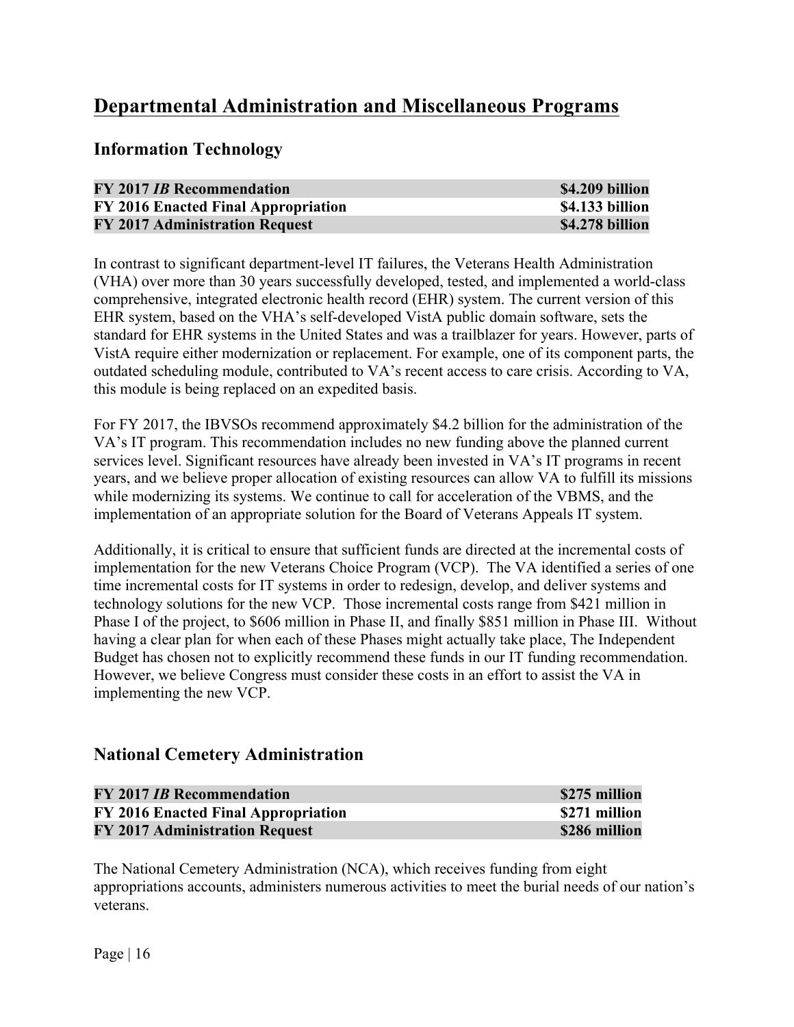# **Departmental Administration and Miscellaneous Programs**

**Information Technology**

| <b>FY 2017 IB Recommendation</b>      | \$4.209 billion |
|---------------------------------------|-----------------|
| FY 2016 Enacted Final Appropriation   | \$4.133 billion |
| <b>FY 2017 Administration Request</b> | \$4.278 billion |

In contrast to significant department-level IT failures, the Veterans Health Administration (VHA) over more than 30 years successfully developed, tested, and implemented a world-class comprehensive, integrated electronic health record (EHR) system. The current version of this EHR system, based on the VHA's self-developed VistA public domain software, sets the standard for EHR systems in the United States and was a trailblazer for years. However, parts of VistA require either modernization or replacement. For example, one of its component parts, the outdated scheduling module, contributed to VA's recent access to care crisis. According to VA, this module is being replaced on an expedited basis.

For FY 2017, the IBVSOs recommend approximately \$4.2 billion for the administration of the VA's IT program. This recommendation includes no new funding above the planned current services level. Significant resources have already been invested in VA's IT programs in recent years, and we believe proper allocation of existing resources can allow VA to fulfill its missions while modernizing its systems. We continue to call for acceleration of the VBMS, and the implementation of an appropriate solution for the Board of Veterans Appeals IT system.

Additionally, it is critical to ensure that sufficient funds are directed at the incremental costs of implementation for the new Veterans Choice Program (VCP). The VA identified a series of one time incremental costs for IT systems in order to redesign, develop, and deliver systems and technology solutions for the new VCP. Those incremental costs range from \$421 million in Phase I of the project, to \$606 million in Phase II, and finally \$851 million in Phase III. Without having a clear plan for when each of these Phases might actually take place, The Independent Budget has chosen not to explicitly recommend these funds in our IT funding recommendation. However, we believe Congress must consider these costs in an effort to assist the VA in implementing the new VCP.

# **National Cemetery Administration**

| <b>FY 2017 IB Recommendation</b>      | \$275 million |
|---------------------------------------|---------------|
| FY 2016 Enacted Final Appropriation   | \$271 million |
| <b>FY 2017 Administration Request</b> | \$286 million |

The National Cemetery Administration (NCA), which receives funding from eight appropriations accounts, administers numerous activities to meet the burial needs of our nation's veterans.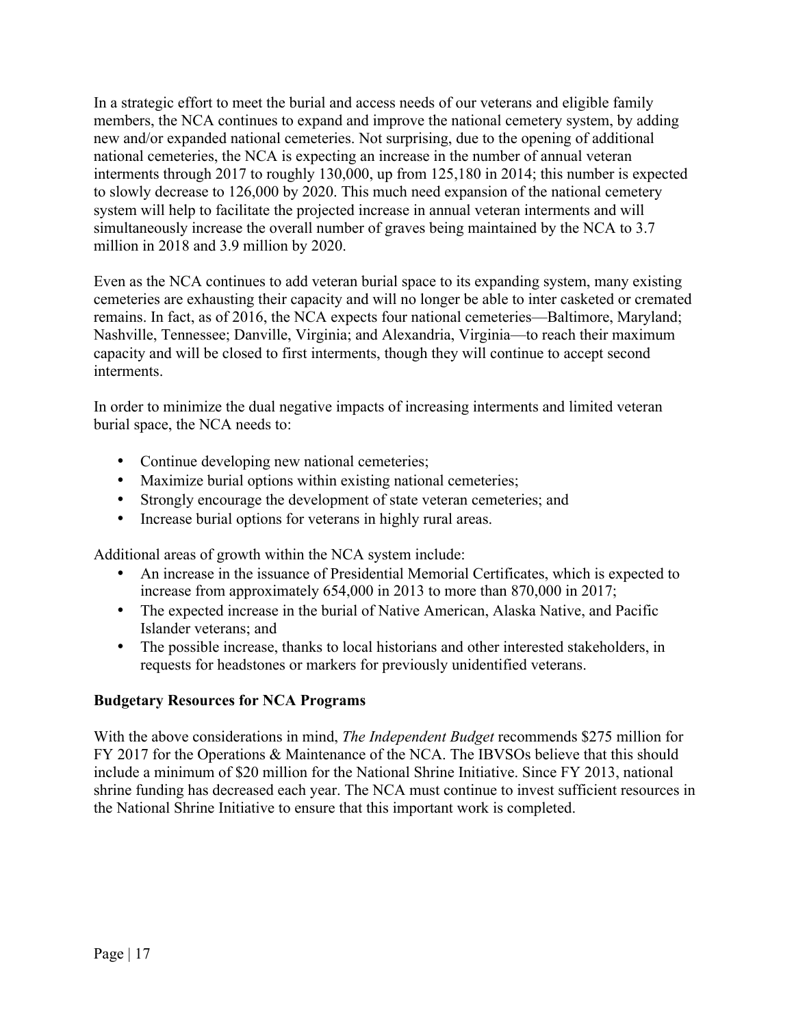In a strategic effort to meet the burial and access needs of our veterans and eligible family members, the NCA continues to expand and improve the national cemetery system, by adding new and/or expanded national cemeteries. Not surprising, due to the opening of additional national cemeteries, the NCA is expecting an increase in the number of annual veteran interments through 2017 to roughly 130,000, up from 125,180 in 2014; this number is expected to slowly decrease to 126,000 by 2020. This much need expansion of the national cemetery system will help to facilitate the projected increase in annual veteran interments and will simultaneously increase the overall number of graves being maintained by the NCA to 3.7 million in 2018 and 3.9 million by 2020.

Even as the NCA continues to add veteran burial space to its expanding system, many existing cemeteries are exhausting their capacity and will no longer be able to inter casketed or cremated remains. In fact, as of 2016, the NCA expects four national cemeteries—Baltimore, Maryland; Nashville, Tennessee; Danville, Virginia; and Alexandria, Virginia—to reach their maximum capacity and will be closed to first interments, though they will continue to accept second interments.

In order to minimize the dual negative impacts of increasing interments and limited veteran burial space, the NCA needs to:

- Continue developing new national cemeteries;
- Maximize burial options within existing national cemeteries;
- Strongly encourage the development of state veteran cemeteries; and
- Increase burial options for veterans in highly rural areas.

Additional areas of growth within the NCA system include:

- An increase in the issuance of Presidential Memorial Certificates, which is expected to increase from approximately 654,000 in 2013 to more than 870,000 in 2017;
- The expected increase in the burial of Native American, Alaska Native, and Pacific Islander veterans; and
- The possible increase, thanks to local historians and other interested stakeholders, in requests for headstones or markers for previously unidentified veterans.

## **Budgetary Resources for NCA Programs**

With the above considerations in mind, *The Independent Budget* recommends \$275 million for FY 2017 for the Operations & Maintenance of the NCA. The IBVSOs believe that this should include a minimum of \$20 million for the National Shrine Initiative. Since FY 2013, national shrine funding has decreased each year. The NCA must continue to invest sufficient resources in the National Shrine Initiative to ensure that this important work is completed.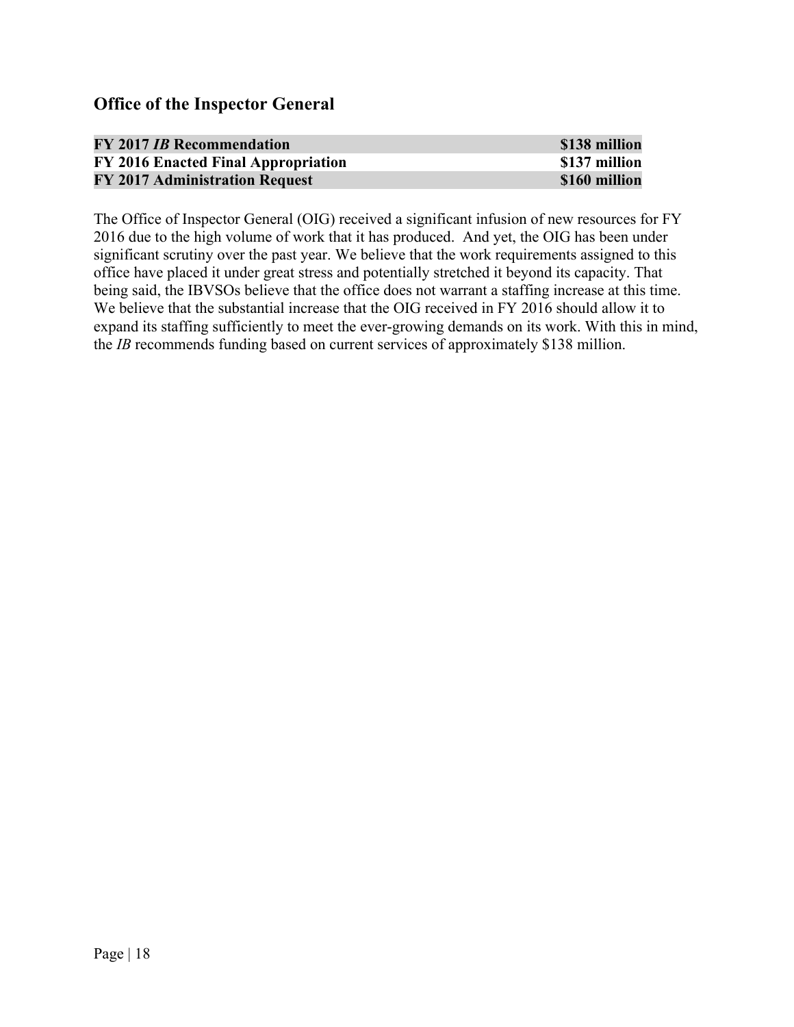## **Office of the Inspector General**

| <b>FY 2017 IB Recommendation</b>      | \$138 million |
|---------------------------------------|---------------|
| FY 2016 Enacted Final Appropriation   | \$137 million |
| <b>FY 2017 Administration Request</b> | \$160 million |

The Office of Inspector General (OIG) received a significant infusion of new resources for FY 2016 due to the high volume of work that it has produced. And yet, the OIG has been under significant scrutiny over the past year. We believe that the work requirements assigned to this office have placed it under great stress and potentially stretched it beyond its capacity. That being said, the IBVSOs believe that the office does not warrant a staffing increase at this time. We believe that the substantial increase that the OIG received in FY 2016 should allow it to expand its staffing sufficiently to meet the ever-growing demands on its work. With this in mind, the *IB* recommends funding based on current services of approximately \$138 million.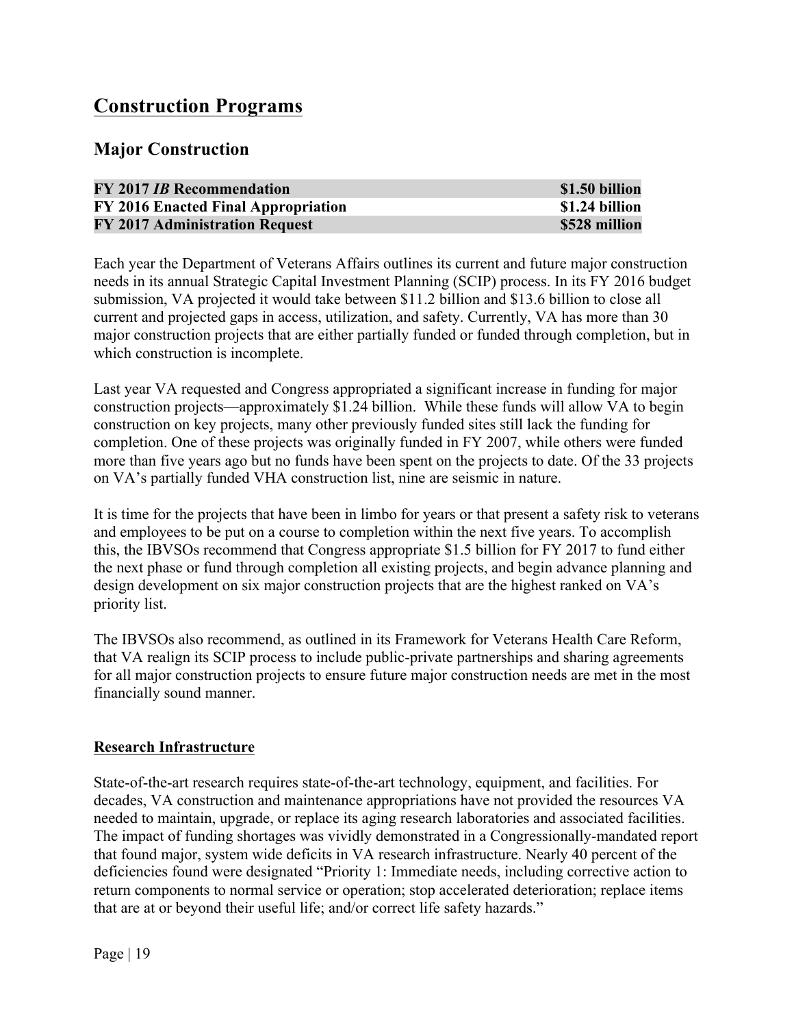# **Construction Programs**

# **Major Construction**

| <b>FY 2017 IB Recommendation</b>      | \$1.50 billion |
|---------------------------------------|----------------|
| FY 2016 Enacted Final Appropriation   | \$1.24 billion |
| <b>FY 2017 Administration Request</b> | \$528 million  |

Each year the Department of Veterans Affairs outlines its current and future major construction needs in its annual Strategic Capital Investment Planning (SCIP) process. In its FY 2016 budget submission, VA projected it would take between \$11.2 billion and \$13.6 billion to close all current and projected gaps in access, utilization, and safety. Currently, VA has more than 30 major construction projects that are either partially funded or funded through completion, but in which construction is incomplete.

Last year VA requested and Congress appropriated a significant increase in funding for major construction projects—approximately \$1.24 billion. While these funds will allow VA to begin construction on key projects, many other previously funded sites still lack the funding for completion. One of these projects was originally funded in FY 2007, while others were funded more than five years ago but no funds have been spent on the projects to date. Of the 33 projects on VA's partially funded VHA construction list, nine are seismic in nature.

It is time for the projects that have been in limbo for years or that present a safety risk to veterans and employees to be put on a course to completion within the next five years. To accomplish this, the IBVSOs recommend that Congress appropriate \$1.5 billion for FY 2017 to fund either the next phase or fund through completion all existing projects, and begin advance planning and design development on six major construction projects that are the highest ranked on VA's priority list.

The IBVSOs also recommend, as outlined in its Framework for Veterans Health Care Reform, that VA realign its SCIP process to include public-private partnerships and sharing agreements for all major construction projects to ensure future major construction needs are met in the most financially sound manner.

#### **Research Infrastructure**

State-of-the-art research requires state-of-the-art technology, equipment, and facilities. For decades, VA construction and maintenance appropriations have not provided the resources VA needed to maintain, upgrade, or replace its aging research laboratories and associated facilities. The impact of funding shortages was vividly demonstrated in a Congressionally-mandated report that found major, system wide deficits in VA research infrastructure. Nearly 40 percent of the deficiencies found were designated "Priority 1: Immediate needs, including corrective action to return components to normal service or operation; stop accelerated deterioration; replace items that are at or beyond their useful life; and/or correct life safety hazards."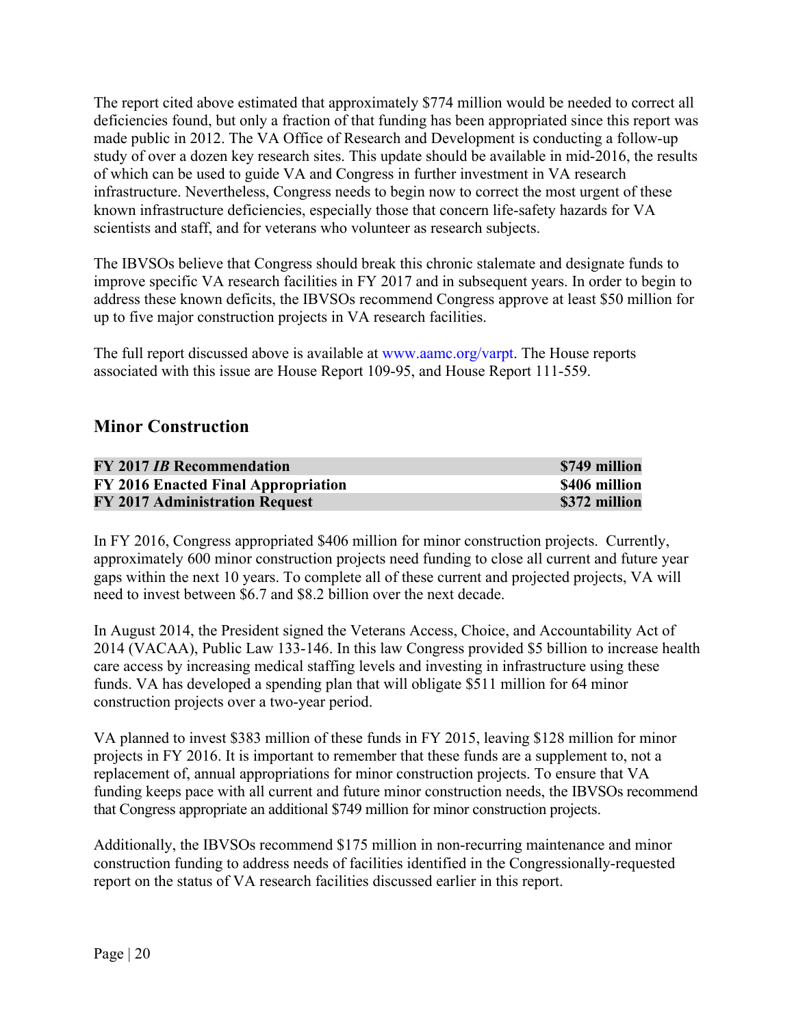The report cited above estimated that approximately \$774 million would be needed to correct all deficiencies found, but only a fraction of that funding has been appropriated since this report was made public in 2012. The VA Office of Research and Development is conducting a follow-up study of over a dozen key research sites. This update should be available in mid-2016, the results of which can be used to guide VA and Congress in further investment in VA research infrastructure. Nevertheless, Congress needs to begin now to correct the most urgent of these known infrastructure deficiencies, especially those that concern life-safety hazards for VA scientists and staff, and for veterans who volunteer as research subjects.

The IBVSOs believe that Congress should break this chronic stalemate and designate funds to improve specific VA research facilities in FY 2017 and in subsequent years. In order to begin to address these known deficits, the IBVSOs recommend Congress approve at least \$50 million for up to five major construction projects in VA research facilities.

The full report discussed above is available at www.aamc.org/varpt. The House reports associated with this issue are House Report 109-95, and House Report 111-559.

# **Minor Construction**

| <b>FY 2017 IB Recommendation</b>      | \$749 million |
|---------------------------------------|---------------|
| FY 2016 Enacted Final Appropriation   | \$406 million |
| <b>FY 2017 Administration Request</b> | \$372 million |

In FY 2016, Congress appropriated \$406 million for minor construction projects. Currently, approximately 600 minor construction projects need funding to close all current and future year gaps within the next 10 years. To complete all of these current and projected projects, VA will need to invest between \$6.7 and \$8.2 billion over the next decade.

In August 2014, the President signed the Veterans Access, Choice, and Accountability Act of 2014 (VACAA), Public Law 133-146. In this law Congress provided \$5 billion to increase health care access by increasing medical staffing levels and investing in infrastructure using these funds. VA has developed a spending plan that will obligate \$511 million for 64 minor construction projects over a two-year period.

VA planned to invest \$383 million of these funds in FY 2015, leaving \$128 million for minor projects in FY 2016. It is important to remember that these funds are a supplement to, not a replacement of, annual appropriations for minor construction projects. To ensure that VA funding keeps pace with all current and future minor construction needs, the IBVSOs recommend that Congress appropriate an additional \$749 million for minor construction projects.

Additionally, the IBVSOs recommend \$175 million in non-recurring maintenance and minor construction funding to address needs of facilities identified in the Congressionally-requested report on the status of VA research facilities discussed earlier in this report.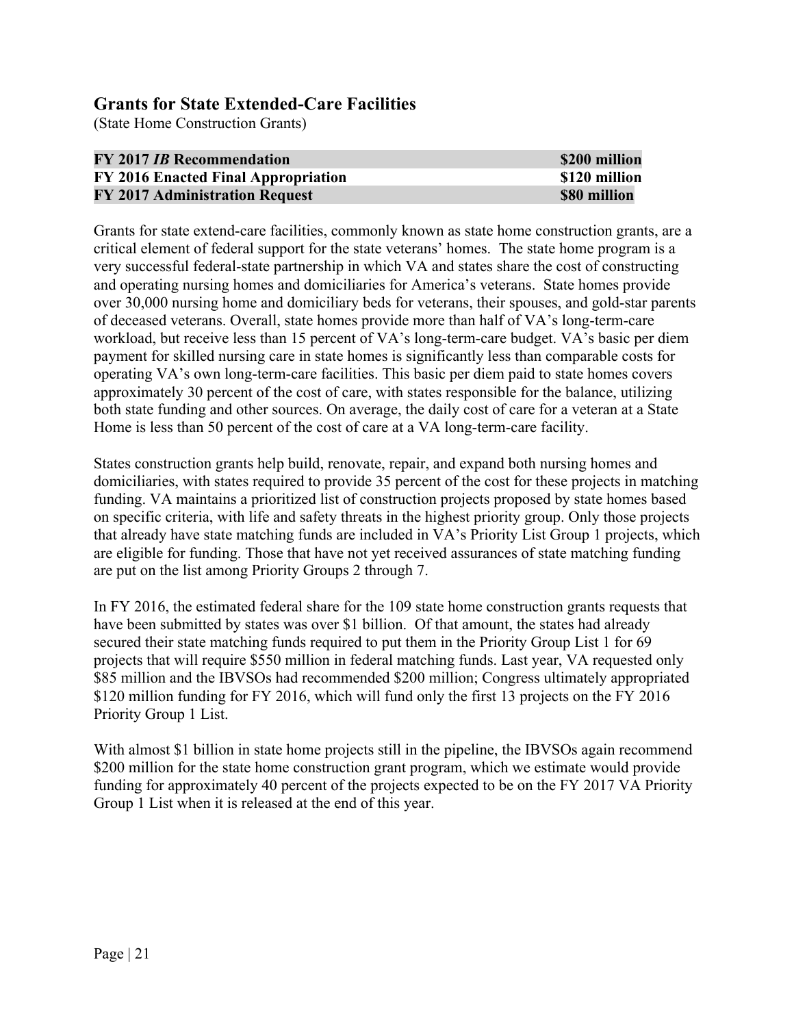# **Grants for State Extended-Care Facilities**

(State Home Construction Grants)

| <b>FY 2017 IB Recommendation</b>      | \$200 million |
|---------------------------------------|---------------|
| FY 2016 Enacted Final Appropriation   | \$120 million |
| <b>FY 2017 Administration Request</b> | \$80 million  |

Grants for state extend-care facilities, commonly known as state home construction grants, are a critical element of federal support for the state veterans' homes. The state home program is a very successful federal-state partnership in which VA and states share the cost of constructing and operating nursing homes and domiciliaries for America's veterans. State homes provide over 30,000 nursing home and domiciliary beds for veterans, their spouses, and gold-star parents of deceased veterans. Overall, state homes provide more than half of VA's long-term-care workload, but receive less than 15 percent of VA's long-term-care budget. VA's basic per diem payment for skilled nursing care in state homes is significantly less than comparable costs for operating VA's own long-term-care facilities. This basic per diem paid to state homes covers approximately 30 percent of the cost of care, with states responsible for the balance, utilizing both state funding and other sources. On average, the daily cost of care for a veteran at a State Home is less than 50 percent of the cost of care at a VA long-term-care facility.

States construction grants help build, renovate, repair, and expand both nursing homes and domiciliaries, with states required to provide 35 percent of the cost for these projects in matching funding. VA maintains a prioritized list of construction projects proposed by state homes based on specific criteria, with life and safety threats in the highest priority group. Only those projects that already have state matching funds are included in VA's Priority List Group 1 projects, which are eligible for funding. Those that have not yet received assurances of state matching funding are put on the list among Priority Groups 2 through 7.

In FY 2016, the estimated federal share for the 109 state home construction grants requests that have been submitted by states was over \$1 billion. Of that amount, the states had already secured their state matching funds required to put them in the Priority Group List 1 for 69 projects that will require \$550 million in federal matching funds. Last year, VA requested only \$85 million and the IBVSOs had recommended \$200 million; Congress ultimately appropriated \$120 million funding for FY 2016, which will fund only the first 13 projects on the FY 2016 Priority Group 1 List.

With almost \$1 billion in state home projects still in the pipeline, the IBVSOs again recommend \$200 million for the state home construction grant program, which we estimate would provide funding for approximately 40 percent of the projects expected to be on the FY 2017 VA Priority Group 1 List when it is released at the end of this year.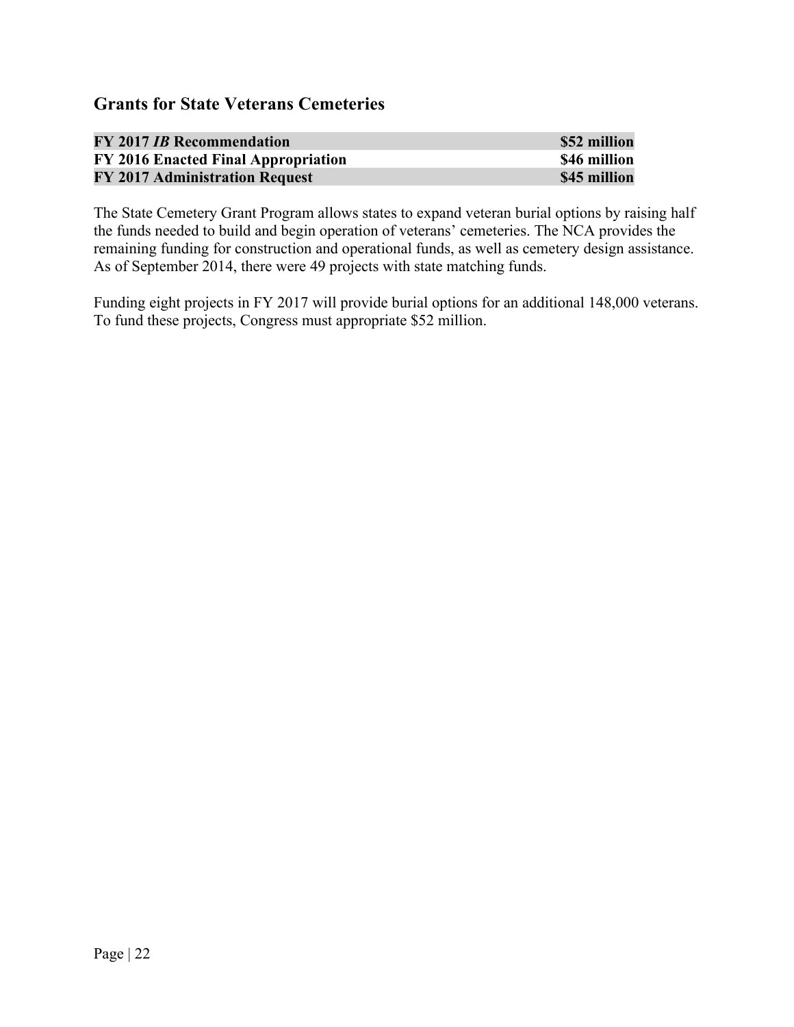# **Grants for State Veterans Cemeteries**

| <b>FY 2017 IB Recommendation</b>    | \$52 million |
|-------------------------------------|--------------|
| FY 2016 Enacted Final Appropriation | \$46 million |
| FY 2017 Administration Request      | \$45 million |

The State Cemetery Grant Program allows states to expand veteran burial options by raising half the funds needed to build and begin operation of veterans' cemeteries. The NCA provides the remaining funding for construction and operational funds, as well as cemetery design assistance. As of September 2014, there were 49 projects with state matching funds.

Funding eight projects in FY 2017 will provide burial options for an additional 148,000 veterans. To fund these projects, Congress must appropriate \$52 million.